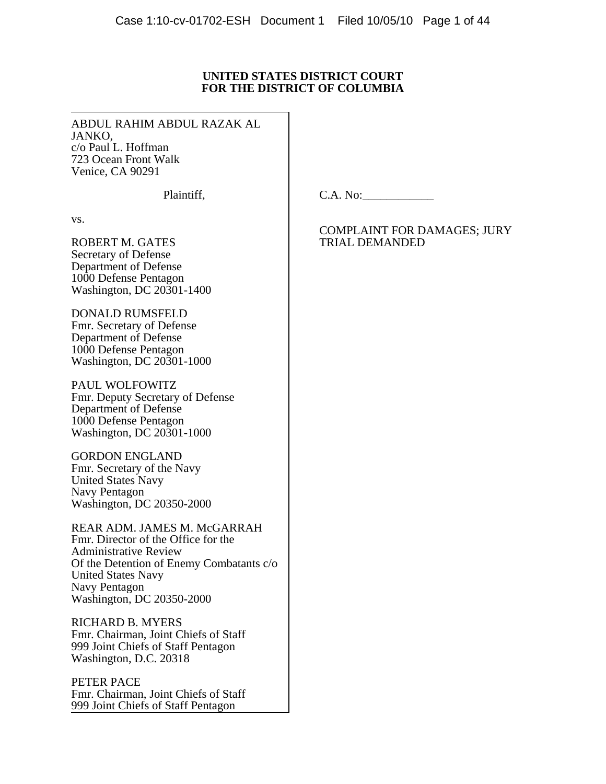## **UNITED STATES DISTRICT COURT FOR THE DISTRICT OF COLUMBIA**

ABDUL RAHIM ABDUL RAZAK AL JANKO, c/o Paul L. Hoffman 723 Ocean Front Walk Venice, CA 90291

Plaintiff,

C.A. No:

vs.

ROBERT M. GATES Secretary of Defense Department of Defense 1000 Defense Pentagon Washington, DC 20301-1400

DONALD RUMSFELD Fmr. Secretary of Defense Department of Defense 1000 Defense Pentagon Washington, DC 20301-1000

PAUL WOLFOWITZ Fmr. Deputy Secretary of Defense Department of Defense 1000 Defense Pentagon Washington, DC 20301-1000

GORDON ENGLAND Fmr. Secretary of the Navy United States Navy Navy Pentagon Washington, DC 20350-2000

REAR ADM. JAMES M. McGARRAH Fmr. Director of the Office for the Administrative Review Of the Detention of Enemy Combatants c/o United States Navy Navy Pentagon Washington, DC 20350-2000

RICHARD B. MYERS Fmr. Chairman, Joint Chiefs of Staff 999 Joint Chiefs of Staff Pentagon Washington, D.C. 20318

PETER PACE Fmr. Chairman, Joint Chiefs of Staff 999 Joint Chiefs of Staff Pentagon

COMPLAINT FOR DAMAGES; JURY TRIAL DEMANDED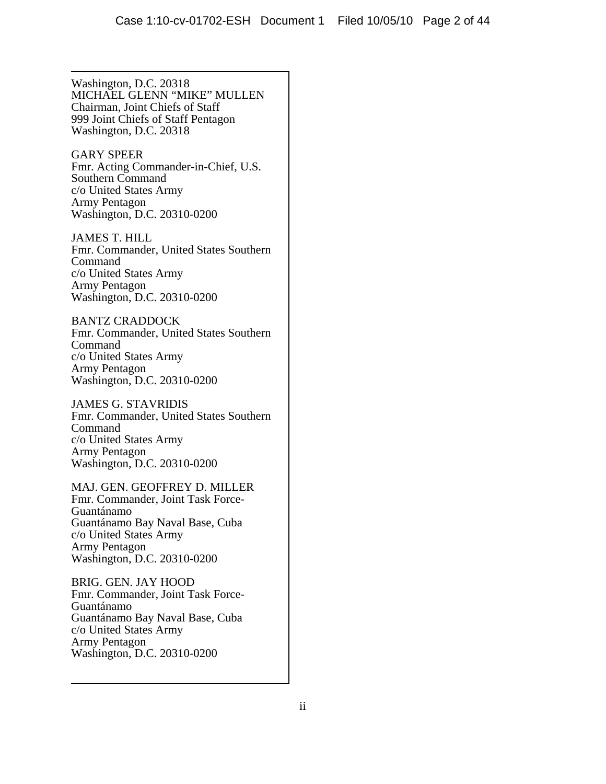Washington, D.C. 20318 MICHAEL GLENN "MIKE" MULLEN Chairman, Joint Chiefs of Staff 999 Joint Chiefs of Staff Pentagon Washington, D.C. 20318

GARY SPEER Fmr. Acting Commander-in-Chief, U.S. Southern Command c/o United States Army Army Pentagon Washington, D.C. 20310-0200

JAMES T. HILL Fmr. Commander, United States Southern Command c/o United States Army Army Pentagon Washington, D.C. 20310-0200

BANTZ CRADDOCK Fmr. Commander, United States Southern Command c/o United States Army Army Pentagon Washington, D.C. 20310-0200

JAMES G. STAVRIDIS Fmr. Commander, United States Southern Command c/o United States Army Army Pentagon Washington, D.C. 20310-0200

MAJ. GEN. GEOFFREY D. MILLER Fmr. Commander, Joint Task Force-Guantánamo Guantánamo Bay Naval Base, Cuba c/o United States Army Army Pentagon Washington, D.C. 20310-0200

BRIG. GEN. JAY HOOD Fmr. Commander, Joint Task Force-Guantánamo Guantánamo Bay Naval Base, Cuba c/o United States Army Army Pentagon Washington, D.C. 20310-0200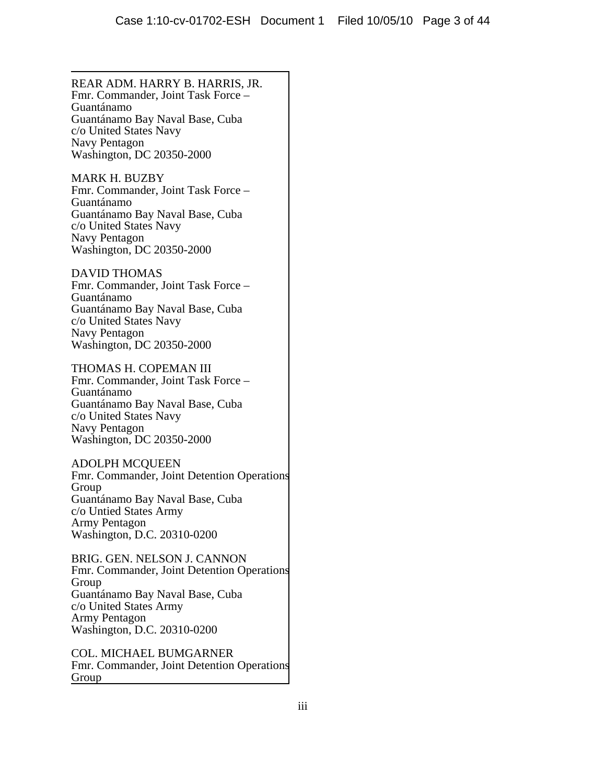REAR ADM. HARRY B. HARRIS, JR. Fmr. Commander, Joint Task Force – Guantánamo Guantánamo Bay Naval Base, Cuba c/o United States Navy Navy Pentagon Washington, DC 20350-2000

MARK H. BUZBY Fmr. Commander, Joint Task Force – Guantánamo Guantánamo Bay Naval Base, Cuba c/o United States Navy Navy Pentagon Washington, DC 20350-2000

DAVID THOMAS

Fmr. Commander, Joint Task Force – Guantánamo Guantánamo Bay Naval Base, Cuba c/o United States Navy Navy Pentagon Washington, DC 20350-2000

THOMAS H. COPEMAN III Fmr. Commander, Joint Task Force – Guantánamo Guantánamo Bay Naval Base, Cuba c/o United States Navy Navy Pentagon Washington, DC 20350-2000

## ADOLPH MCQUEEN

Fmr. Commander, Joint Detention Operations Group Guantánamo Bay Naval Base, Cuba c/o Untied States Army Army Pentagon Washington, D.C. 20310-0200

BRIG. GEN. NELSON J. CANNON Fmr. Commander, Joint Detention Operations Group Guantánamo Bay Naval Base, Cuba c/o United States Army Army Pentagon Washington, D.C. 20310-0200

COL. MICHAEL BUMGARNER Fmr. Commander, Joint Detention Operations Group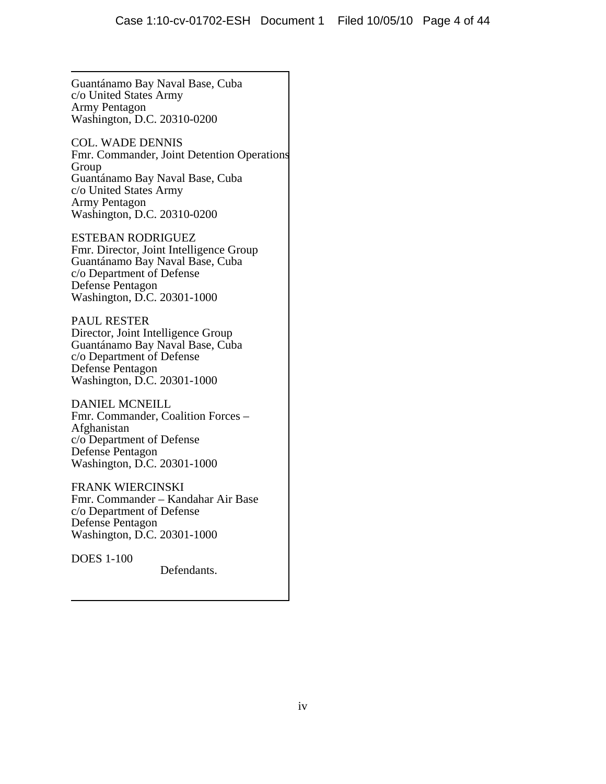Guantánamo Bay Naval Base, Cuba c/o United States Army Army Pentagon Washington, D.C. 20310-0200

COL. WADE DENNIS Fmr. Commander, Joint Detention Operations Group Guantánamo Bay Naval Base, Cuba c/o United States Army Army Pentagon Washington, D.C. 20310-0200

ESTEBAN RODRIGUEZ Fmr. Director, Joint Intelligence Group Guantánamo Bay Naval Base, Cuba c/o Department of Defense Defense Pentagon Washington, D.C. 20301-1000

PAUL RESTER Director, Joint Intelligence Group Guantánamo Bay Naval Base, Cuba c/o Department of Defense Defense Pentagon Washington, D.C. 20301-1000

DANIEL MCNEILL Fmr. Commander, Coalition Forces – Afghanistan c/o Department of Defense Defense Pentagon Washington, D.C. 20301-1000

FRANK WIERCINSKI Fmr. Commander – Kandahar Air Base c/o Department of Defense Defense Pentagon Washington, D.C. 20301-1000

DOES 1-100

Defendants.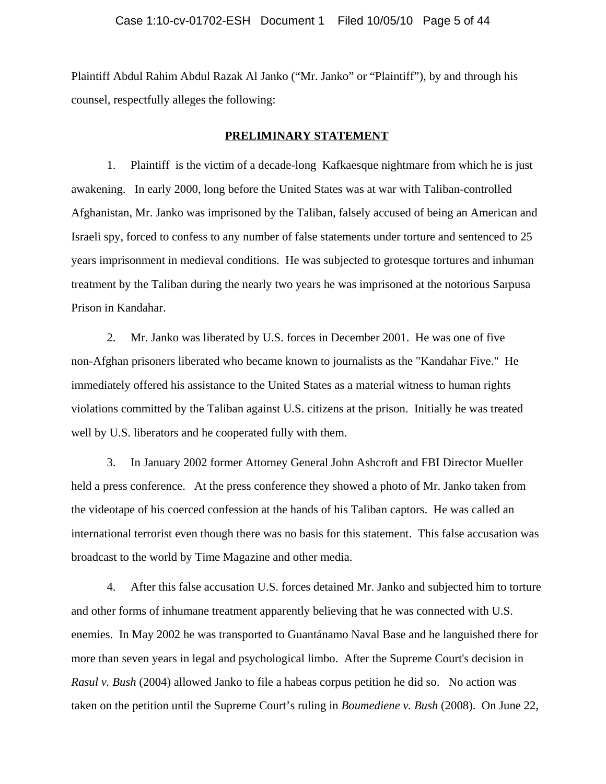Plaintiff Abdul Rahim Abdul Razak Al Janko ("Mr. Janko" or "Plaintiff"), by and through his counsel, respectfully alleges the following:

#### **PRELIMINARY STATEMENT**

1. Plaintiff is the victim of a decade-long Kafkaesque nightmare from which he is just awakening. In early 2000, long before the United States was at war with Taliban-controlled Afghanistan, Mr. Janko was imprisoned by the Taliban, falsely accused of being an American and Israeli spy, forced to confess to any number of false statements under torture and sentenced to 25 years imprisonment in medieval conditions. He was subjected to grotesque tortures and inhuman treatment by the Taliban during the nearly two years he was imprisoned at the notorious Sarpusa Prison in Kandahar.

2. Mr. Janko was liberated by U.S. forces in December 2001. He was one of five non-Afghan prisoners liberated who became known to journalists as the "Kandahar Five." He immediately offered his assistance to the United States as a material witness to human rights violations committed by the Taliban against U.S. citizens at the prison. Initially he was treated well by U.S. liberators and he cooperated fully with them.

3. In January 2002 former Attorney General John Ashcroft and FBI Director Mueller held a press conference. At the press conference they showed a photo of Mr. Janko taken from the videotape of his coerced confession at the hands of his Taliban captors. He was called an international terrorist even though there was no basis for this statement. This false accusation was broadcast to the world by Time Magazine and other media.

4. After this false accusation U.S. forces detained Mr. Janko and subjected him to torture and other forms of inhumane treatment apparently believing that he was connected with U.S. enemies. In May 2002 he was transported to Guantánamo Naval Base and he languished there for more than seven years in legal and psychological limbo. After the Supreme Court's decision in *Rasul v. Bush* (2004) allowed Janko to file a habeas corpus petition he did so. No action was taken on the petition until the Supreme Court's ruling in *Boumediene v. Bush* (2008). On June 22,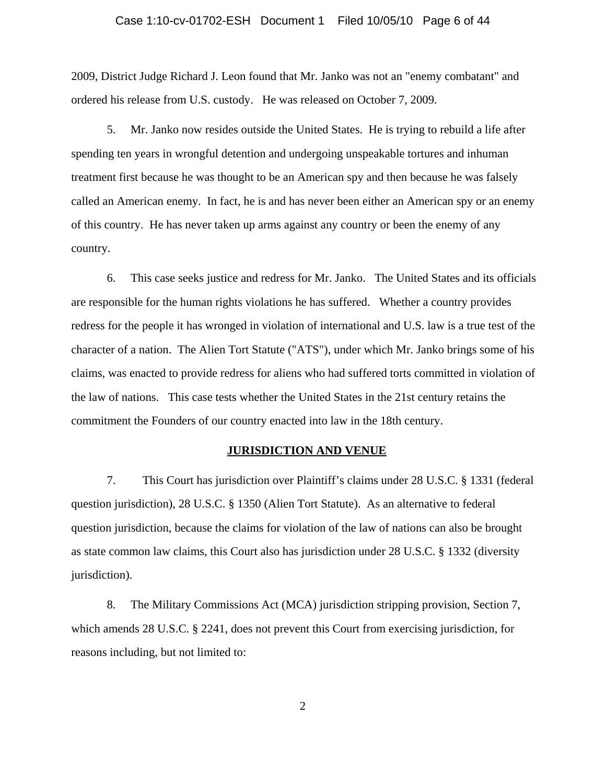#### Case 1:10-cv-01702-ESH Document 1 Filed 10/05/10 Page 6 of 44

2009, District Judge Richard J. Leon found that Mr. Janko was not an "enemy combatant" and ordered his release from U.S. custody. He was released on October 7, 2009.

5. Mr. Janko now resides outside the United States. He is trying to rebuild a life after spending ten years in wrongful detention and undergoing unspeakable tortures and inhuman treatment first because he was thought to be an American spy and then because he was falsely called an American enemy. In fact, he is and has never been either an American spy or an enemy of this country. He has never taken up arms against any country or been the enemy of any country.

6. This case seeks justice and redress for Mr. Janko. The United States and its officials are responsible for the human rights violations he has suffered. Whether a country provides redress for the people it has wronged in violation of international and U.S. law is a true test of the character of a nation. The Alien Tort Statute ("ATS"), under which Mr. Janko brings some of his claims, was enacted to provide redress for aliens who had suffered torts committed in violation of the law of nations. This case tests whether the United States in the 21st century retains the commitment the Founders of our country enacted into law in the 18th century.

#### **JURISDICTION AND VENUE**

7. This Court has jurisdiction over Plaintiff's claims under 28 U.S.C. § 1331 (federal question jurisdiction), 28 U.S.C. § 1350 (Alien Tort Statute). As an alternative to federal question jurisdiction, because the claims for violation of the law of nations can also be brought as state common law claims, this Court also has jurisdiction under 28 U.S.C. § 1332 (diversity jurisdiction).

8. The Military Commissions Act (MCA) jurisdiction stripping provision, Section 7, which amends 28 U.S.C. § 2241, does not prevent this Court from exercising jurisdiction, for reasons including, but not limited to: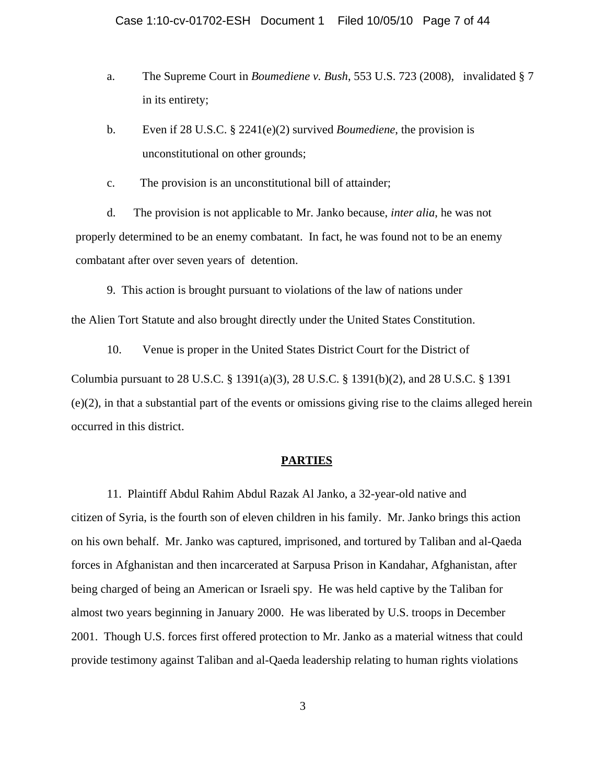- a. The Supreme Court in *Boumediene v. Bush*, 553 U.S. 723 (2008), invalidated § 7 in its entirety;
- b. Even if 28 U.S.C. § 2241(e)(2) survived *Boumediene*, the provision is unconstitutional on other grounds;
- c. The provision is an unconstitutional bill of attainder;

d. The provision is not applicable to Mr. Janko because, *inter alia*, he was not properly determined to be an enemy combatant. In fact, he was found not to be an enemy combatant after over seven years of detention.

9. This action is brought pursuant to violations of the law of nations under

the Alien Tort Statute and also brought directly under the United States Constitution.

10. Venue is proper in the United States District Court for the District of

Columbia pursuant to 28 U.S.C. § 1391(a)(3), 28 U.S.C. § 1391(b)(2), and 28 U.S.C. § 1391 (e)(2), in that a substantial part of the events or omissions giving rise to the claims alleged herein occurred in this district.

## **PARTIES**

11. Plaintiff Abdul Rahim Abdul Razak Al Janko, a 32-year-old native and citizen of Syria, is the fourth son of eleven children in his family. Mr. Janko brings this action on his own behalf. Mr. Janko was captured, imprisoned, and tortured by Taliban and al-Qaeda forces in Afghanistan and then incarcerated at Sarpusa Prison in Kandahar, Afghanistan, after being charged of being an American or Israeli spy. He was held captive by the Taliban for almost two years beginning in January 2000. He was liberated by U.S. troops in December 2001. Though U.S. forces first offered protection to Mr. Janko as a material witness that could provide testimony against Taliban and al-Qaeda leadership relating to human rights violations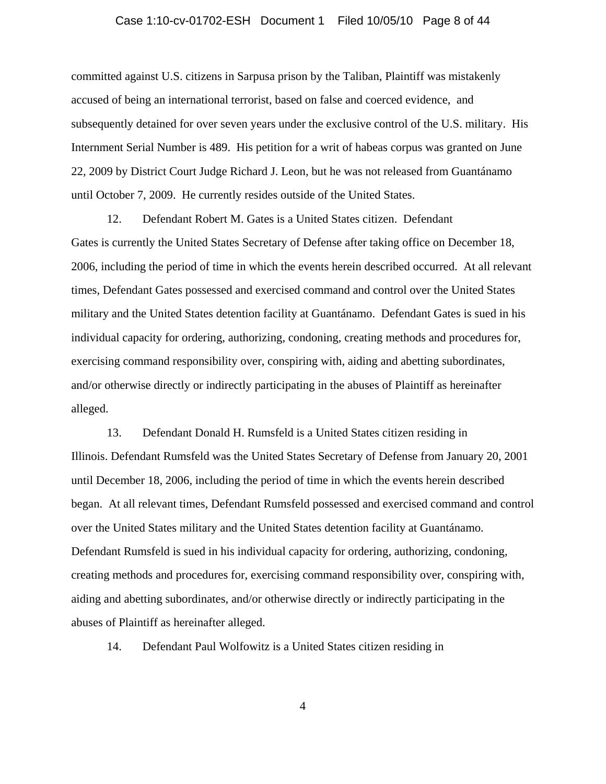#### Case 1:10-cv-01702-ESH Document 1 Filed 10/05/10 Page 8 of 44

committed against U.S. citizens in Sarpusa prison by the Taliban, Plaintiff was mistakenly accused of being an international terrorist, based on false and coerced evidence, and subsequently detained for over seven years under the exclusive control of the U.S. military. His Internment Serial Number is 489. His petition for a writ of habeas corpus was granted on June 22, 2009 by District Court Judge Richard J. Leon, but he was not released from Guantánamo until October 7, 2009. He currently resides outside of the United States.

12. Defendant Robert M. Gates is a United States citizen. Defendant Gates is currently the United States Secretary of Defense after taking office on December 18, 2006, including the period of time in which the events herein described occurred. At all relevant times, Defendant Gates possessed and exercised command and control over the United States military and the United States detention facility at Guantánamo. Defendant Gates is sued in his individual capacity for ordering, authorizing, condoning, creating methods and procedures for, exercising command responsibility over, conspiring with, aiding and abetting subordinates, and/or otherwise directly or indirectly participating in the abuses of Plaintiff as hereinafter alleged.

13. Defendant Donald H. Rumsfeld is a United States citizen residing in Illinois. Defendant Rumsfeld was the United States Secretary of Defense from January 20, 2001 until December 18, 2006, including the period of time in which the events herein described began. At all relevant times, Defendant Rumsfeld possessed and exercised command and control over the United States military and the United States detention facility at Guantánamo. Defendant Rumsfeld is sued in his individual capacity for ordering, authorizing, condoning, creating methods and procedures for, exercising command responsibility over, conspiring with, aiding and abetting subordinates, and/or otherwise directly or indirectly participating in the abuses of Plaintiff as hereinafter alleged.

14. Defendant Paul Wolfowitz is a United States citizen residing in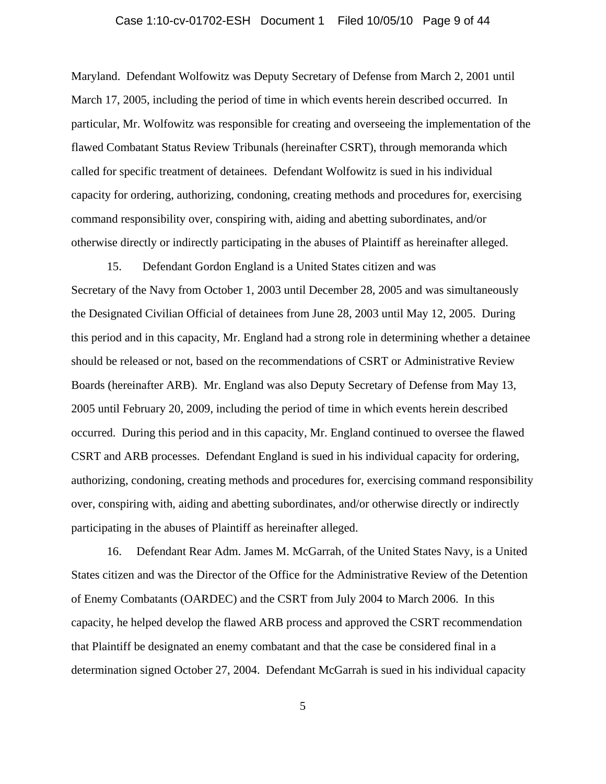#### Case 1:10-cv-01702-ESH Document 1 Filed 10/05/10 Page 9 of 44

Maryland. Defendant Wolfowitz was Deputy Secretary of Defense from March 2, 2001 until March 17, 2005, including the period of time in which events herein described occurred. In particular, Mr. Wolfowitz was responsible for creating and overseeing the implementation of the flawed Combatant Status Review Tribunals (hereinafter CSRT), through memoranda which called for specific treatment of detainees. Defendant Wolfowitz is sued in his individual capacity for ordering, authorizing, condoning, creating methods and procedures for, exercising command responsibility over, conspiring with, aiding and abetting subordinates, and/or otherwise directly or indirectly participating in the abuses of Plaintiff as hereinafter alleged.

15. Defendant Gordon England is a United States citizen and was Secretary of the Navy from October 1, 2003 until December 28, 2005 and was simultaneously the Designated Civilian Official of detainees from June 28, 2003 until May 12, 2005. During this period and in this capacity, Mr. England had a strong role in determining whether a detainee should be released or not, based on the recommendations of CSRT or Administrative Review Boards (hereinafter ARB). Mr. England was also Deputy Secretary of Defense from May 13, 2005 until February 20, 2009, including the period of time in which events herein described occurred. During this period and in this capacity, Mr. England continued to oversee the flawed CSRT and ARB processes. Defendant England is sued in his individual capacity for ordering, authorizing, condoning, creating methods and procedures for, exercising command responsibility over, conspiring with, aiding and abetting subordinates, and/or otherwise directly or indirectly participating in the abuses of Plaintiff as hereinafter alleged.

16. Defendant Rear Adm. James M. McGarrah, of the United States Navy, is a United States citizen and was the Director of the Office for the Administrative Review of the Detention of Enemy Combatants (OARDEC) and the CSRT from July 2004 to March 2006. In this capacity, he helped develop the flawed ARB process and approved the CSRT recommendation that Plaintiff be designated an enemy combatant and that the case be considered final in a determination signed October 27, 2004. Defendant McGarrah is sued in his individual capacity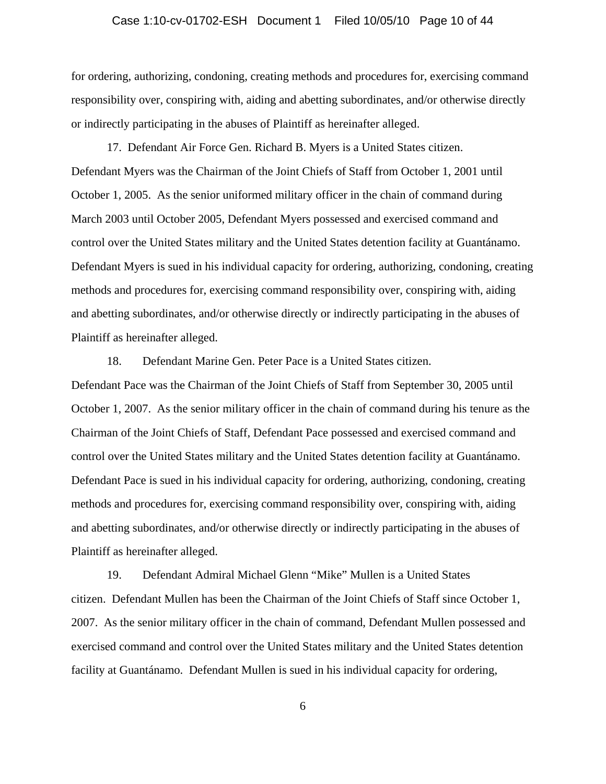# Case 1:10-cv-01702-ESH Document 1 Filed 10/05/10 Page 10 of 44

for ordering, authorizing, condoning, creating methods and procedures for, exercising command responsibility over, conspiring with, aiding and abetting subordinates, and/or otherwise directly or indirectly participating in the abuses of Plaintiff as hereinafter alleged.

17. Defendant Air Force Gen. Richard B. Myers is a United States citizen. Defendant Myers was the Chairman of the Joint Chiefs of Staff from October 1, 2001 until October 1, 2005. As the senior uniformed military officer in the chain of command during March 2003 until October 2005, Defendant Myers possessed and exercised command and control over the United States military and the United States detention facility at Guantánamo. Defendant Myers is sued in his individual capacity for ordering, authorizing, condoning, creating methods and procedures for, exercising command responsibility over, conspiring with, aiding and abetting subordinates, and/or otherwise directly or indirectly participating in the abuses of Plaintiff as hereinafter alleged.

18. Defendant Marine Gen. Peter Pace is a United States citizen.

Defendant Pace was the Chairman of the Joint Chiefs of Staff from September 30, 2005 until October 1, 2007. As the senior military officer in the chain of command during his tenure as the Chairman of the Joint Chiefs of Staff, Defendant Pace possessed and exercised command and control over the United States military and the United States detention facility at Guantánamo. Defendant Pace is sued in his individual capacity for ordering, authorizing, condoning, creating methods and procedures for, exercising command responsibility over, conspiring with, aiding and abetting subordinates, and/or otherwise directly or indirectly participating in the abuses of Plaintiff as hereinafter alleged.

19. Defendant Admiral Michael Glenn "Mike" Mullen is a United States citizen. Defendant Mullen has been the Chairman of the Joint Chiefs of Staff since October 1, 2007. As the senior military officer in the chain of command, Defendant Mullen possessed and exercised command and control over the United States military and the United States detention facility at Guantánamo. Defendant Mullen is sued in his individual capacity for ordering,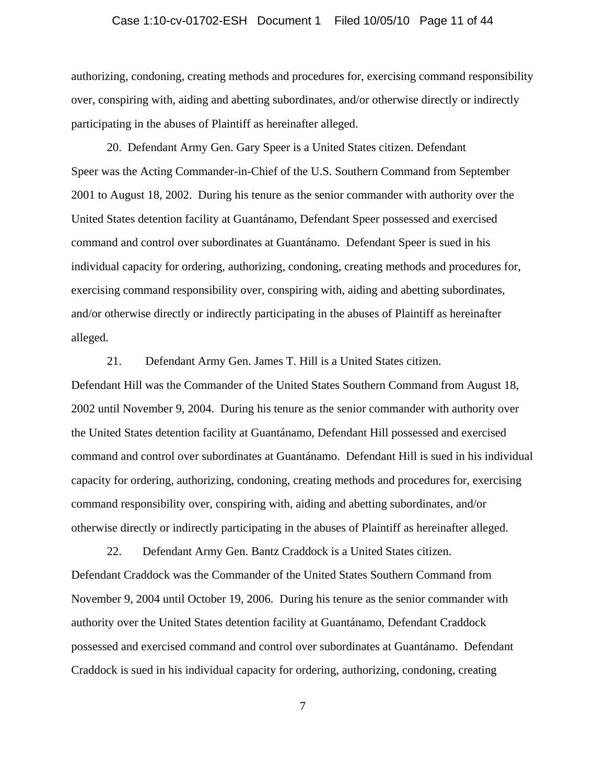# Case 1:10-cv-01702-ESH Document 1 Filed 10/05/10 Page 11 of 44

authorizing, condoning, creating methods and procedures for, exercising command responsibility over, conspiring with, aiding and abetting subordinates, and/or otherwise directly or indirectly participating in the abuses of Plaintiff as hereinafter alleged.

20. Defendant Army Gen. Gary Speer is a United States citizen. Defendant Speer was the Acting Commander-in-Chief of the U.S. Southern Command from September 2001 to August 18, 2002. During his tenure as the senior commander with authority over the United States detention facility at Guantánamo, Defendant Speer possessed and exercised command and control over subordinates at Guantánamo. Defendant Speer is sued in his individual capacity for ordering, authorizing, condoning, creating methods and procedures for, exercising command responsibility over, conspiring with, aiding and abetting subordinates, and/or otherwise directly or indirectly participating in the abuses of Plaintiff as hereinafter alleged.

21. Defendant Army Gen. James T. Hill is a United States citizen. Defendant Hill was the Commander of the United States Southern Command from August 18, 2002 until November 9, 2004. During his tenure as the senior commander with authority over the United States detention facility at Guantánamo, Defendant Hill possessed and exercised command and control over subordinates at Guantánamo. Defendant Hill is sued in his individual capacity for ordering, authorizing, condoning, creating methods and procedures for, exercising command responsibility over, conspiring with, aiding and abetting subordinates, and/or otherwise directly or indirectly participating in the abuses of Plaintiff as hereinafter alleged.

22. Defendant Army Gen. Bantz Craddock is a United States citizen. Defendant Craddock was the Commander of the United States Southern Command from November 9, 2004 until October 19, 2006. During his tenure as the senior commander with authority over the United States detention facility at Guantánamo, Defendant Craddock possessed and exercised command and control over subordinates at Guantánamo. Defendant Craddock is sued in his individual capacity for ordering, authorizing, condoning, creating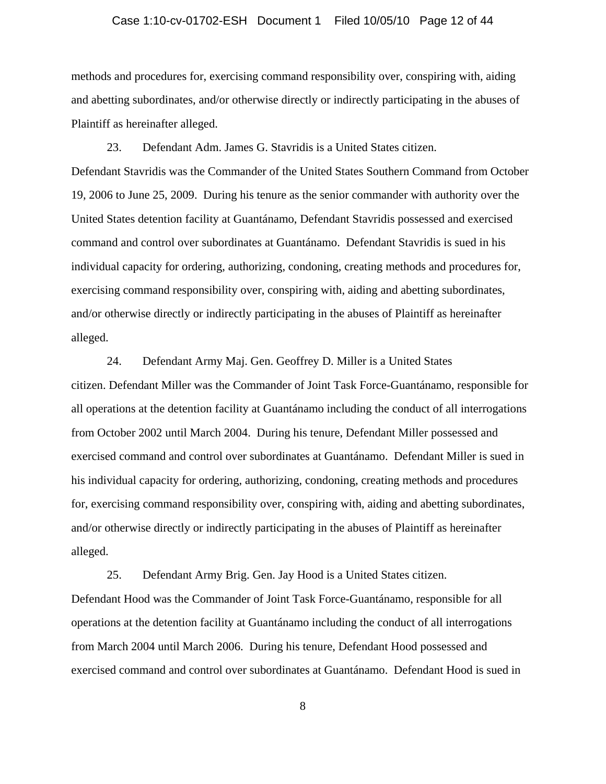#### Case 1:10-cv-01702-ESH Document 1 Filed 10/05/10 Page 12 of 44

methods and procedures for, exercising command responsibility over, conspiring with, aiding and abetting subordinates, and/or otherwise directly or indirectly participating in the abuses of Plaintiff as hereinafter alleged.

23. Defendant Adm. James G. Stavridis is a United States citizen. Defendant Stavridis was the Commander of the United States Southern Command from October 19, 2006 to June 25, 2009. During his tenure as the senior commander with authority over the United States detention facility at Guantánamo, Defendant Stavridis possessed and exercised command and control over subordinates at Guantánamo. Defendant Stavridis is sued in his individual capacity for ordering, authorizing, condoning, creating methods and procedures for, exercising command responsibility over, conspiring with, aiding and abetting subordinates, and/or otherwise directly or indirectly participating in the abuses of Plaintiff as hereinafter alleged.

24. Defendant Army Maj. Gen. Geoffrey D. Miller is a United States citizen. Defendant Miller was the Commander of Joint Task Force-Guantánamo, responsible for all operations at the detention facility at Guantánamo including the conduct of all interrogations from October 2002 until March 2004. During his tenure, Defendant Miller possessed and exercised command and control over subordinates at Guantánamo. Defendant Miller is sued in his individual capacity for ordering, authorizing, condoning, creating methods and procedures for, exercising command responsibility over, conspiring with, aiding and abetting subordinates, and/or otherwise directly or indirectly participating in the abuses of Plaintiff as hereinafter alleged.

25. Defendant Army Brig. Gen. Jay Hood is a United States citizen. Defendant Hood was the Commander of Joint Task Force-Guantánamo, responsible for all operations at the detention facility at Guantánamo including the conduct of all interrogations from March 2004 until March 2006. During his tenure, Defendant Hood possessed and exercised command and control over subordinates at Guantánamo. Defendant Hood is sued in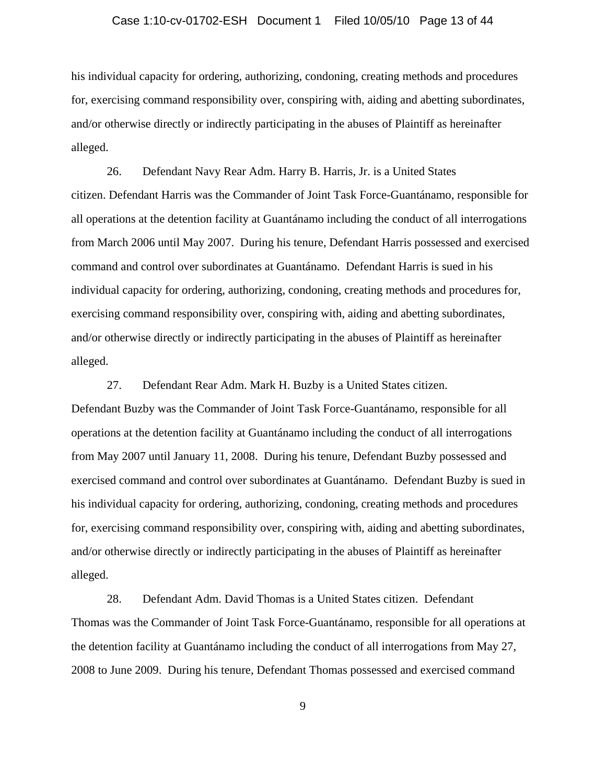#### Case 1:10-cv-01702-ESH Document 1 Filed 10/05/10 Page 13 of 44

his individual capacity for ordering, authorizing, condoning, creating methods and procedures for, exercising command responsibility over, conspiring with, aiding and abetting subordinates, and/or otherwise directly or indirectly participating in the abuses of Plaintiff as hereinafter alleged.

26. Defendant Navy Rear Adm. Harry B. Harris, Jr. is a United States citizen. Defendant Harris was the Commander of Joint Task Force-Guantánamo, responsible for all operations at the detention facility at Guantánamo including the conduct of all interrogations from March 2006 until May 2007. During his tenure, Defendant Harris possessed and exercised command and control over subordinates at Guantánamo. Defendant Harris is sued in his individual capacity for ordering, authorizing, condoning, creating methods and procedures for, exercising command responsibility over, conspiring with, aiding and abetting subordinates, and/or otherwise directly or indirectly participating in the abuses of Plaintiff as hereinafter alleged.

27. Defendant Rear Adm. Mark H. Buzby is a United States citizen. Defendant Buzby was the Commander of Joint Task Force-Guantánamo, responsible for all operations at the detention facility at Guantánamo including the conduct of all interrogations from May 2007 until January 11, 2008. During his tenure, Defendant Buzby possessed and exercised command and control over subordinates at Guantánamo. Defendant Buzby is sued in his individual capacity for ordering, authorizing, condoning, creating methods and procedures for, exercising command responsibility over, conspiring with, aiding and abetting subordinates, and/or otherwise directly or indirectly participating in the abuses of Plaintiff as hereinafter alleged.

28. Defendant Adm. David Thomas is a United States citizen. Defendant Thomas was the Commander of Joint Task Force-Guantánamo, responsible for all operations at the detention facility at Guantánamo including the conduct of all interrogations from May 27, 2008 to June 2009. During his tenure, Defendant Thomas possessed and exercised command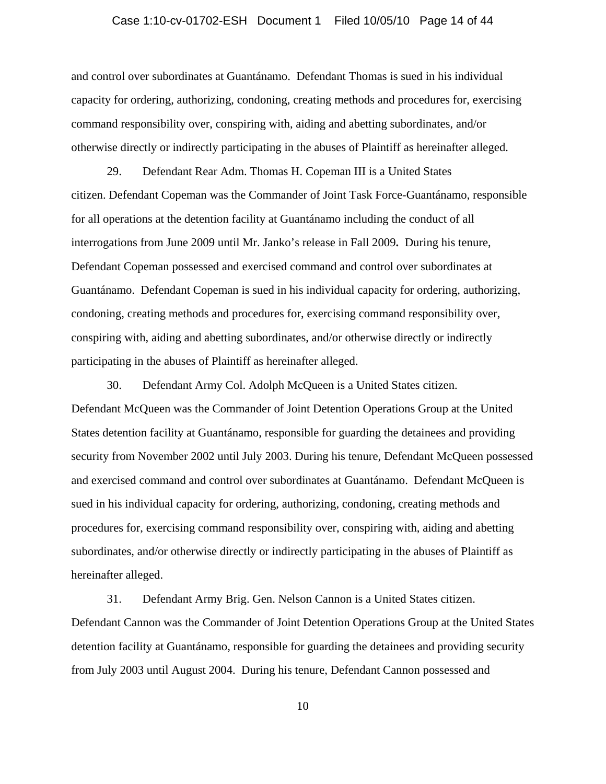#### Case 1:10-cv-01702-ESH Document 1 Filed 10/05/10 Page 14 of 44

and control over subordinates at Guantánamo. Defendant Thomas is sued in his individual capacity for ordering, authorizing, condoning, creating methods and procedures for, exercising command responsibility over, conspiring with, aiding and abetting subordinates, and/or otherwise directly or indirectly participating in the abuses of Plaintiff as hereinafter alleged.

29. Defendant Rear Adm. Thomas H. Copeman III is a United States citizen. Defendant Copeman was the Commander of Joint Task Force-Guantánamo, responsible for all operations at the detention facility at Guantánamo including the conduct of all interrogations from June 2009 until Mr. Janko's release in Fall 2009**.** During his tenure, Defendant Copeman possessed and exercised command and control over subordinates at Guantánamo. Defendant Copeman is sued in his individual capacity for ordering, authorizing, condoning, creating methods and procedures for, exercising command responsibility over, conspiring with, aiding and abetting subordinates, and/or otherwise directly or indirectly participating in the abuses of Plaintiff as hereinafter alleged.

30. Defendant Army Col. Adolph McQueen is a United States citizen. Defendant McQueen was the Commander of Joint Detention Operations Group at the United States detention facility at Guantánamo, responsible for guarding the detainees and providing security from November 2002 until July 2003. During his tenure, Defendant McQueen possessed and exercised command and control over subordinates at Guantánamo. Defendant McQueen is sued in his individual capacity for ordering, authorizing, condoning, creating methods and procedures for, exercising command responsibility over, conspiring with, aiding and abetting subordinates, and/or otherwise directly or indirectly participating in the abuses of Plaintiff as hereinafter alleged.

31. Defendant Army Brig. Gen. Nelson Cannon is a United States citizen. Defendant Cannon was the Commander of Joint Detention Operations Group at the United States detention facility at Guantánamo, responsible for guarding the detainees and providing security from July 2003 until August 2004. During his tenure, Defendant Cannon possessed and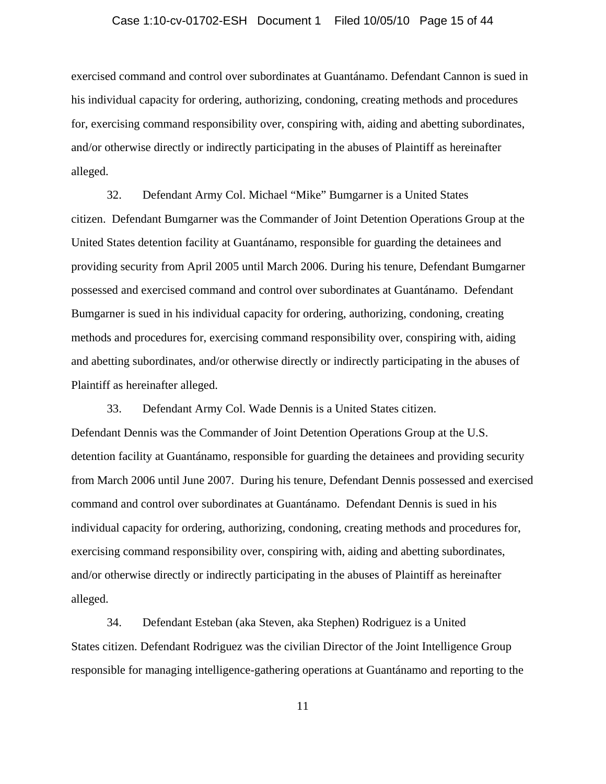#### Case 1:10-cv-01702-ESH Document 1 Filed 10/05/10 Page 15 of 44

exercised command and control over subordinates at Guantánamo. Defendant Cannon is sued in his individual capacity for ordering, authorizing, condoning, creating methods and procedures for, exercising command responsibility over, conspiring with, aiding and abetting subordinates, and/or otherwise directly or indirectly participating in the abuses of Plaintiff as hereinafter alleged.

32. Defendant Army Col. Michael "Mike" Bumgarner is a United States citizen. Defendant Bumgarner was the Commander of Joint Detention Operations Group at the United States detention facility at Guantánamo, responsible for guarding the detainees and providing security from April 2005 until March 2006. During his tenure, Defendant Bumgarner possessed and exercised command and control over subordinates at Guantánamo. Defendant Bumgarner is sued in his individual capacity for ordering, authorizing, condoning, creating methods and procedures for, exercising command responsibility over, conspiring with, aiding and abetting subordinates, and/or otherwise directly or indirectly participating in the abuses of Plaintiff as hereinafter alleged.

33. Defendant Army Col. Wade Dennis is a United States citizen. Defendant Dennis was the Commander of Joint Detention Operations Group at the U.S. detention facility at Guantánamo, responsible for guarding the detainees and providing security from March 2006 until June 2007. During his tenure, Defendant Dennis possessed and exercised command and control over subordinates at Guantánamo. Defendant Dennis is sued in his individual capacity for ordering, authorizing, condoning, creating methods and procedures for, exercising command responsibility over, conspiring with, aiding and abetting subordinates, and/or otherwise directly or indirectly participating in the abuses of Plaintiff as hereinafter alleged.

34. Defendant Esteban (aka Steven, aka Stephen) Rodriguez is a United States citizen. Defendant Rodriguez was the civilian Director of the Joint Intelligence Group responsible for managing intelligence-gathering operations at Guantánamo and reporting to the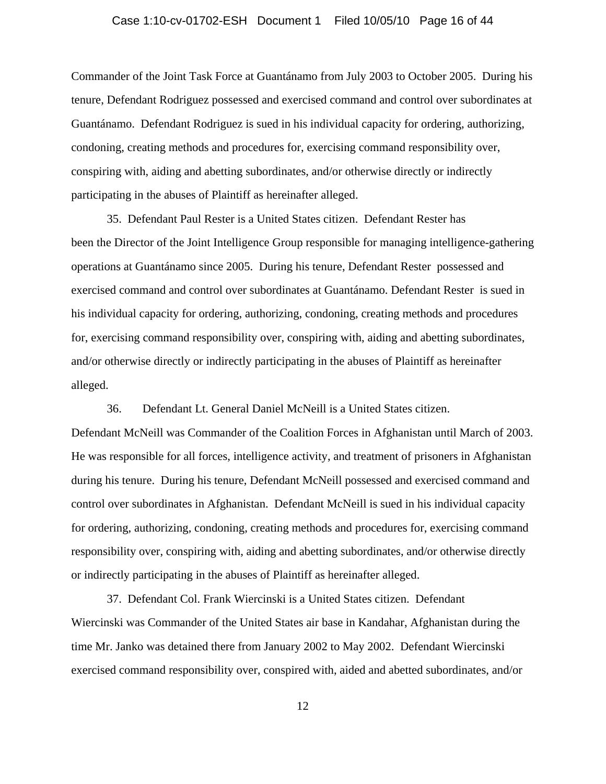#### Case 1:10-cv-01702-ESH Document 1 Filed 10/05/10 Page 16 of 44

Commander of the Joint Task Force at Guantánamo from July 2003 to October 2005. During his tenure, Defendant Rodriguez possessed and exercised command and control over subordinates at Guantánamo. Defendant Rodriguez is sued in his individual capacity for ordering, authorizing, condoning, creating methods and procedures for, exercising command responsibility over, conspiring with, aiding and abetting subordinates, and/or otherwise directly or indirectly participating in the abuses of Plaintiff as hereinafter alleged.

35. Defendant Paul Rester is a United States citizen. Defendant Rester has been the Director of the Joint Intelligence Group responsible for managing intelligence-gathering operations at Guantánamo since 2005. During his tenure, Defendant Rester possessed and exercised command and control over subordinates at Guantánamo. Defendant Rester is sued in his individual capacity for ordering, authorizing, condoning, creating methods and procedures for, exercising command responsibility over, conspiring with, aiding and abetting subordinates, and/or otherwise directly or indirectly participating in the abuses of Plaintiff as hereinafter alleged.

36. Defendant Lt. General Daniel McNeill is a United States citizen. Defendant McNeill was Commander of the Coalition Forces in Afghanistan until March of 2003. He was responsible for all forces, intelligence activity, and treatment of prisoners in Afghanistan during his tenure. During his tenure, Defendant McNeill possessed and exercised command and control over subordinates in Afghanistan. Defendant McNeill is sued in his individual capacity for ordering, authorizing, condoning, creating methods and procedures for, exercising command responsibility over, conspiring with, aiding and abetting subordinates, and/or otherwise directly or indirectly participating in the abuses of Plaintiff as hereinafter alleged.

37. Defendant Col. Frank Wiercinski is a United States citizen. Defendant Wiercinski was Commander of the United States air base in Kandahar, Afghanistan during the time Mr. Janko was detained there from January 2002 to May 2002. Defendant Wiercinski exercised command responsibility over, conspired with, aided and abetted subordinates, and/or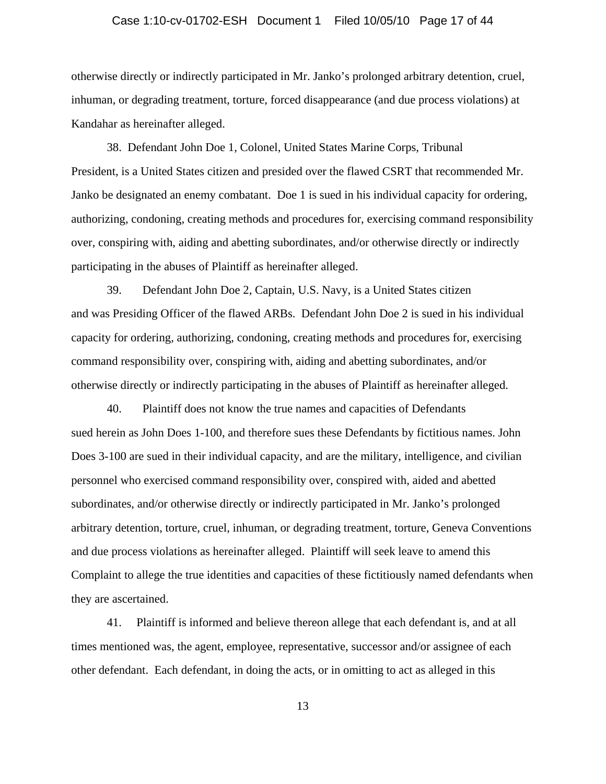# Case 1:10-cv-01702-ESH Document 1 Filed 10/05/10 Page 17 of 44

otherwise directly or indirectly participated in Mr. Janko's prolonged arbitrary detention, cruel, inhuman, or degrading treatment, torture, forced disappearance (and due process violations) at Kandahar as hereinafter alleged.

38. Defendant John Doe 1, Colonel, United States Marine Corps, Tribunal President, is a United States citizen and presided over the flawed CSRT that recommended Mr. Janko be designated an enemy combatant. Doe 1 is sued in his individual capacity for ordering, authorizing, condoning, creating methods and procedures for, exercising command responsibility over, conspiring with, aiding and abetting subordinates, and/or otherwise directly or indirectly participating in the abuses of Plaintiff as hereinafter alleged.

39. Defendant John Doe 2, Captain, U.S. Navy, is a United States citizen and was Presiding Officer of the flawed ARBs. Defendant John Doe 2 is sued in his individual capacity for ordering, authorizing, condoning, creating methods and procedures for, exercising command responsibility over, conspiring with, aiding and abetting subordinates, and/or otherwise directly or indirectly participating in the abuses of Plaintiff as hereinafter alleged.

40. Plaintiff does not know the true names and capacities of Defendants sued herein as John Does 1-100, and therefore sues these Defendants by fictitious names. John Does 3-100 are sued in their individual capacity, and are the military, intelligence, and civilian personnel who exercised command responsibility over, conspired with, aided and abetted subordinates, and/or otherwise directly or indirectly participated in Mr. Janko's prolonged arbitrary detention, torture, cruel, inhuman, or degrading treatment, torture, Geneva Conventions and due process violations as hereinafter alleged. Plaintiff will seek leave to amend this Complaint to allege the true identities and capacities of these fictitiously named defendants when they are ascertained.

41. Plaintiff is informed and believe thereon allege that each defendant is, and at all times mentioned was, the agent, employee, representative, successor and/or assignee of each other defendant. Each defendant, in doing the acts, or in omitting to act as alleged in this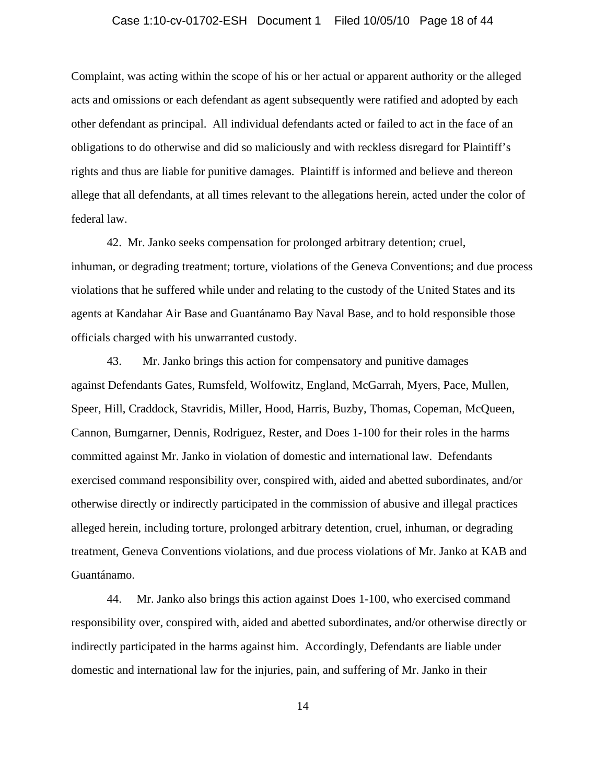# Case 1:10-cv-01702-ESH Document 1 Filed 10/05/10 Page 18 of 44

Complaint, was acting within the scope of his or her actual or apparent authority or the alleged acts and omissions or each defendant as agent subsequently were ratified and adopted by each other defendant as principal. All individual defendants acted or failed to act in the face of an obligations to do otherwise and did so maliciously and with reckless disregard for Plaintiff's rights and thus are liable for punitive damages. Plaintiff is informed and believe and thereon allege that all defendants, at all times relevant to the allegations herein, acted under the color of federal law.

42. Mr. Janko seeks compensation for prolonged arbitrary detention; cruel, inhuman, or degrading treatment; torture, violations of the Geneva Conventions; and due process violations that he suffered while under and relating to the custody of the United States and its agents at Kandahar Air Base and Guantánamo Bay Naval Base, and to hold responsible those officials charged with his unwarranted custody.

43. Mr. Janko brings this action for compensatory and punitive damages against Defendants Gates, Rumsfeld, Wolfowitz, England, McGarrah, Myers, Pace, Mullen, Speer, Hill, Craddock, Stavridis, Miller, Hood, Harris, Buzby, Thomas, Copeman, McQueen, Cannon, Bumgarner, Dennis, Rodriguez, Rester, and Does 1-100 for their roles in the harms committed against Mr. Janko in violation of domestic and international law. Defendants exercised command responsibility over, conspired with, aided and abetted subordinates, and/or otherwise directly or indirectly participated in the commission of abusive and illegal practices alleged herein, including torture, prolonged arbitrary detention, cruel, inhuman, or degrading treatment, Geneva Conventions violations, and due process violations of Mr. Janko at KAB and Guantánamo.

44. Mr. Janko also brings this action against Does 1-100, who exercised command responsibility over, conspired with, aided and abetted subordinates, and/or otherwise directly or indirectly participated in the harms against him. Accordingly, Defendants are liable under domestic and international law for the injuries, pain, and suffering of Mr. Janko in their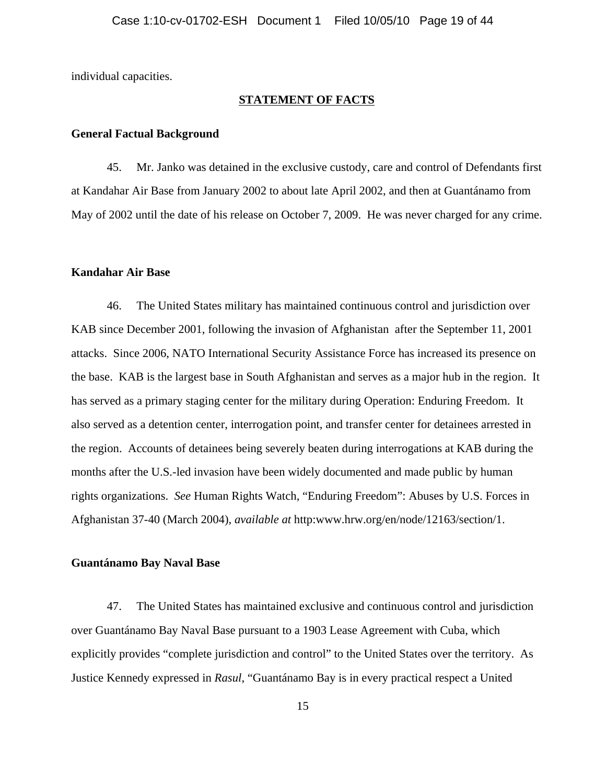individual capacities.

## **STATEMENT OF FACTS**

#### **General Factual Background**

45. Mr. Janko was detained in the exclusive custody, care and control of Defendants first at Kandahar Air Base from January 2002 to about late April 2002, and then at Guantánamo from May of 2002 until the date of his release on October 7, 2009. He was never charged for any crime.

#### **Kandahar Air Base**

46. The United States military has maintained continuous control and jurisdiction over KAB since December 2001, following the invasion of Afghanistan after the September 11, 2001 attacks. Since 2006, NATO International Security Assistance Force has increased its presence on the base. KAB is the largest base in South Afghanistan and serves as a major hub in the region. It has served as a primary staging center for the military during Operation: Enduring Freedom. It also served as a detention center, interrogation point, and transfer center for detainees arrested in the region. Accounts of detainees being severely beaten during interrogations at KAB during the months after the U.S.-led invasion have been widely documented and made public by human rights organizations. *See* Human Rights Watch, "Enduring Freedom": Abuses by U.S. Forces in Afghanistan 37-40 (March 2004), *available at* http:www.hrw.org/en/node/12163/section/1.

## **Guantánamo Bay Naval Base**

47. The United States has maintained exclusive and continuous control and jurisdiction over Guantánamo Bay Naval Base pursuant to a 1903 Lease Agreement with Cuba, which explicitly provides "complete jurisdiction and control" to the United States over the territory. As Justice Kennedy expressed in *Rasul*, "Guantánamo Bay is in every practical respect a United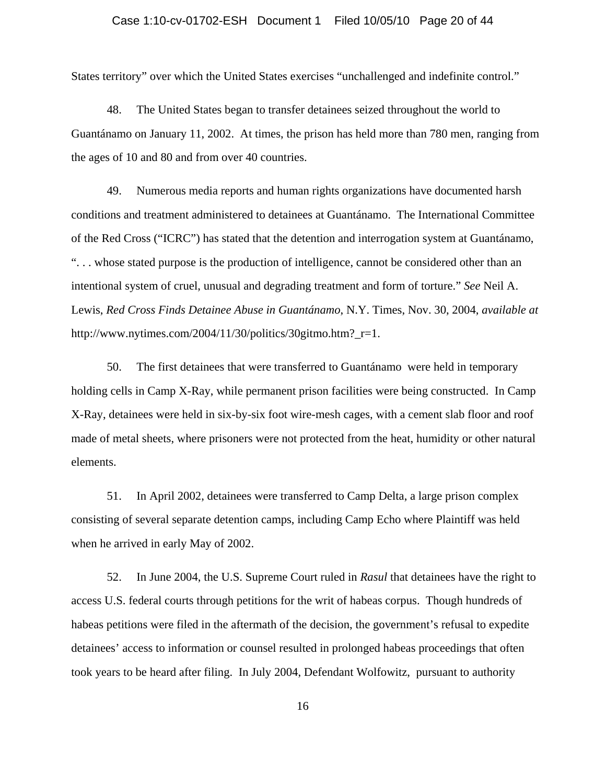#### Case 1:10-cv-01702-ESH Document 1 Filed 10/05/10 Page 20 of 44

States territory" over which the United States exercises "unchallenged and indefinite control."

48. The United States began to transfer detainees seized throughout the world to Guantánamo on January 11, 2002. At times, the prison has held more than 780 men, ranging from the ages of 10 and 80 and from over 40 countries.

49. Numerous media reports and human rights organizations have documented harsh conditions and treatment administered to detainees at Guantánamo. The International Committee of the Red Cross ("ICRC") has stated that the detention and interrogation system at Guantánamo, ". . . whose stated purpose is the production of intelligence, cannot be considered other than an intentional system of cruel, unusual and degrading treatment and form of torture." *See* Neil A. Lewis, *Red Cross Finds Detainee Abuse in Guantánamo*, N.Y. Times, Nov. 30, 2004, *available at* http://www.nytimes.com/2004/11/30/politics/30gitmo.htm?\_r=1.

50. The first detainees that were transferred to Guantánamo were held in temporary holding cells in Camp X-Ray, while permanent prison facilities were being constructed. In Camp X-Ray, detainees were held in six-by-six foot wire-mesh cages, with a cement slab floor and roof made of metal sheets, where prisoners were not protected from the heat, humidity or other natural elements.

51. In April 2002, detainees were transferred to Camp Delta, a large prison complex consisting of several separate detention camps, including Camp Echo where Plaintiff was held when he arrived in early May of 2002.

52. In June 2004, the U.S. Supreme Court ruled in *Rasul* that detainees have the right to access U.S. federal courts through petitions for the writ of habeas corpus. Though hundreds of habeas petitions were filed in the aftermath of the decision, the government's refusal to expedite detainees' access to information or counsel resulted in prolonged habeas proceedings that often took years to be heard after filing. In July 2004, Defendant Wolfowitz, pursuant to authority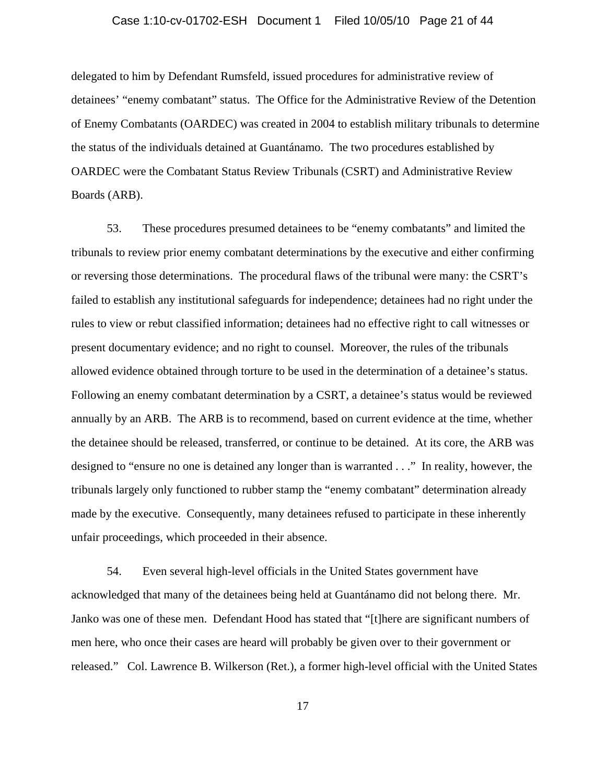#### Case 1:10-cv-01702-ESH Document 1 Filed 10/05/10 Page 21 of 44

delegated to him by Defendant Rumsfeld, issued procedures for administrative review of detainees' "enemy combatant" status. The Office for the Administrative Review of the Detention of Enemy Combatants (OARDEC) was created in 2004 to establish military tribunals to determine the status of the individuals detained at Guantánamo. The two procedures established by OARDEC were the Combatant Status Review Tribunals (CSRT) and Administrative Review Boards (ARB).

53. These procedures presumed detainees to be "enemy combatants" and limited the tribunals to review prior enemy combatant determinations by the executive and either confirming or reversing those determinations. The procedural flaws of the tribunal were many: the CSRT's failed to establish any institutional safeguards for independence; detainees had no right under the rules to view or rebut classified information; detainees had no effective right to call witnesses or present documentary evidence; and no right to counsel. Moreover, the rules of the tribunals allowed evidence obtained through torture to be used in the determination of a detainee's status. Following an enemy combatant determination by a CSRT, a detainee's status would be reviewed annually by an ARB. The ARB is to recommend, based on current evidence at the time, whether the detainee should be released, transferred, or continue to be detained. At its core, the ARB was designed to "ensure no one is detained any longer than is warranted . . ." In reality, however, the tribunals largely only functioned to rubber stamp the "enemy combatant" determination already made by the executive. Consequently, many detainees refused to participate in these inherently unfair proceedings, which proceeded in their absence.

54. Even several high-level officials in the United States government have acknowledged that many of the detainees being held at Guantánamo did not belong there. Mr. Janko was one of these men. Defendant Hood has stated that "[t]here are significant numbers of men here, who once their cases are heard will probably be given over to their government or released." Col. Lawrence B. Wilkerson (Ret.), a former high-level official with the United States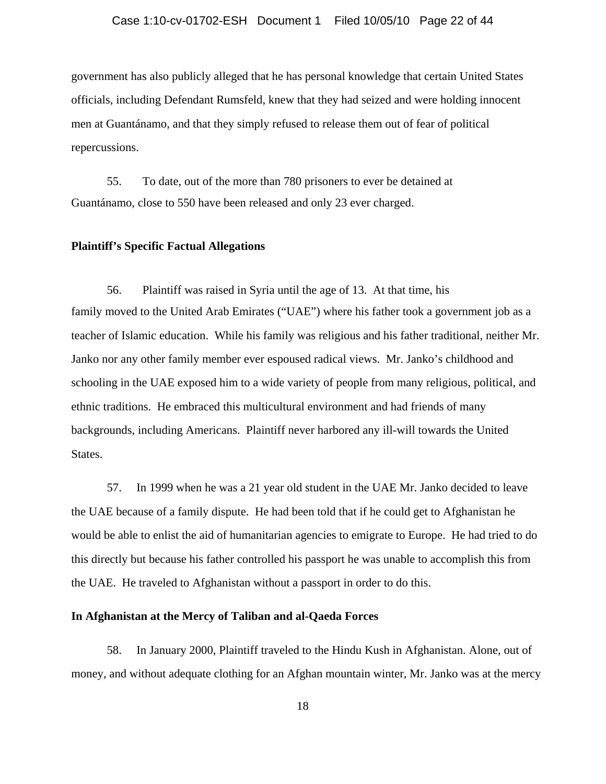#### Case 1:10-cv-01702-ESH Document 1 Filed 10/05/10 Page 22 of 44

government has also publicly alleged that he has personal knowledge that certain United States officials, including Defendant Rumsfeld, knew that they had seized and were holding innocent men at Guantánamo, and that they simply refused to release them out of fear of political repercussions.

55. To date, out of the more than 780 prisoners to ever be detained at Guantánamo, close to 550 have been released and only 23 ever charged.

## **Plaintiff's Specific Factual Allegations**

56. Plaintiff was raised in Syria until the age of 13. At that time, his family moved to the United Arab Emirates ("UAE") where his father took a government job as a teacher of Islamic education. While his family was religious and his father traditional, neither Mr. Janko nor any other family member ever espoused radical views. Mr. Janko's childhood and schooling in the UAE exposed him to a wide variety of people from many religious, political, and ethnic traditions. He embraced this multicultural environment and had friends of many backgrounds, including Americans. Plaintiff never harbored any ill-will towards the United States.

57. In 1999 when he was a 21 year old student in the UAE Mr. Janko decided to leave the UAE because of a family dispute. He had been told that if he could get to Afghanistan he would be able to enlist the aid of humanitarian agencies to emigrate to Europe. He had tried to do this directly but because his father controlled his passport he was unable to accomplish this from the UAE. He traveled to Afghanistan without a passport in order to do this.

## **In Afghanistan at the Mercy of Taliban and al-Qaeda Forces**

58. In January 2000, Plaintiff traveled to the Hindu Kush in Afghanistan. Alone, out of money, and without adequate clothing for an Afghan mountain winter, Mr. Janko was at the mercy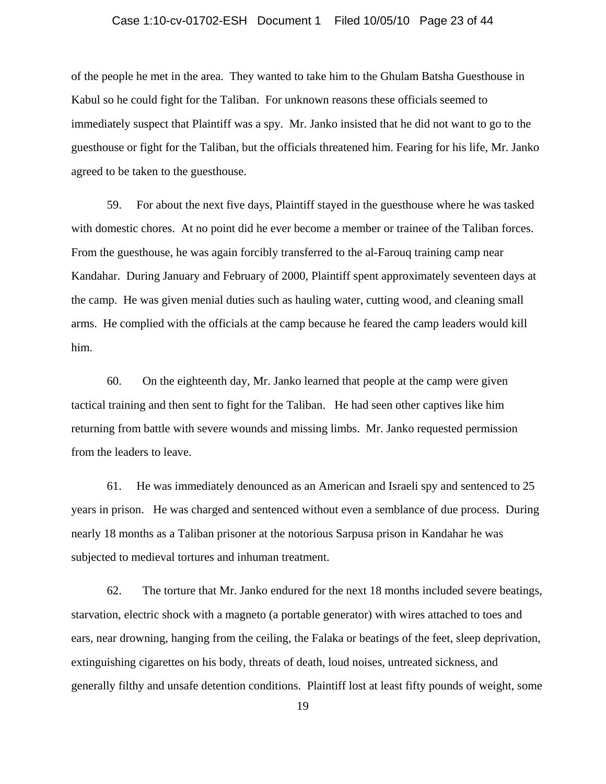#### Case 1:10-cv-01702-ESH Document 1 Filed 10/05/10 Page 23 of 44

of the people he met in the area. They wanted to take him to the Ghulam Batsha Guesthouse in Kabul so he could fight for the Taliban. For unknown reasons these officials seemed to immediately suspect that Plaintiff was a spy. Mr. Janko insisted that he did not want to go to the guesthouse or fight for the Taliban, but the officials threatened him. Fearing for his life, Mr. Janko agreed to be taken to the guesthouse.

59. For about the next five days, Plaintiff stayed in the guesthouse where he was tasked with domestic chores. At no point did he ever become a member or trainee of the Taliban forces. From the guesthouse, he was again forcibly transferred to the al-Farouq training camp near Kandahar. During January and February of 2000, Plaintiff spent approximately seventeen days at the camp. He was given menial duties such as hauling water, cutting wood, and cleaning small arms. He complied with the officials at the camp because he feared the camp leaders would kill him.

60. On the eighteenth day, Mr. Janko learned that people at the camp were given tactical training and then sent to fight for the Taliban. He had seen other captives like him returning from battle with severe wounds and missing limbs. Mr. Janko requested permission from the leaders to leave.

61. He was immediately denounced as an American and Israeli spy and sentenced to 25 years in prison. He was charged and sentenced without even a semblance of due process. During nearly 18 months as a Taliban prisoner at the notorious Sarpusa prison in Kandahar he was subjected to medieval tortures and inhuman treatment.

62. The torture that Mr. Janko endured for the next 18 months included severe beatings, starvation, electric shock with a magneto (a portable generator) with wires attached to toes and ears, near drowning, hanging from the ceiling, the Falaka or beatings of the feet, sleep deprivation, extinguishing cigarettes on his body, threats of death, loud noises, untreated sickness, and generally filthy and unsafe detention conditions. Plaintiff lost at least fifty pounds of weight, some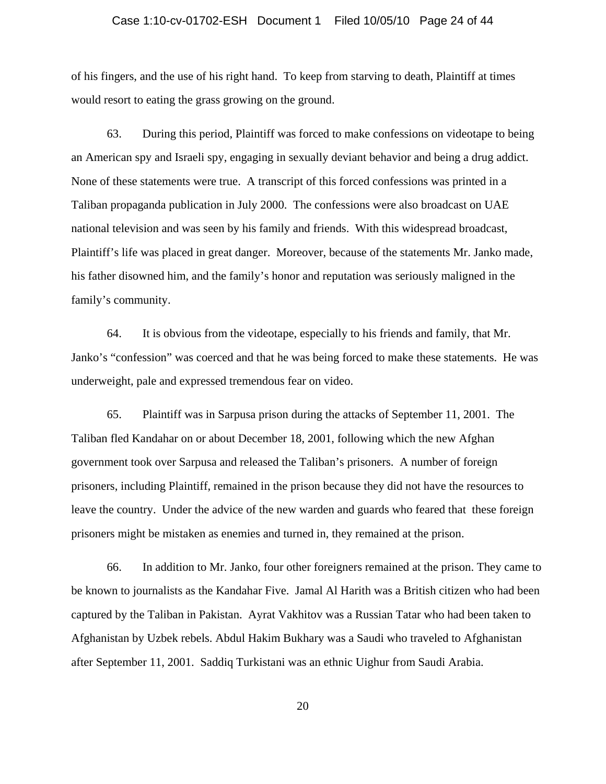#### Case 1:10-cv-01702-ESH Document 1 Filed 10/05/10 Page 24 of 44

of his fingers, and the use of his right hand. To keep from starving to death, Plaintiff at times would resort to eating the grass growing on the ground.

63. During this period, Plaintiff was forced to make confessions on videotape to being an American spy and Israeli spy, engaging in sexually deviant behavior and being a drug addict. None of these statements were true. A transcript of this forced confessions was printed in a Taliban propaganda publication in July 2000. The confessions were also broadcast on UAE national television and was seen by his family and friends. With this widespread broadcast, Plaintiff's life was placed in great danger. Moreover, because of the statements Mr. Janko made, his father disowned him, and the family's honor and reputation was seriously maligned in the family's community.

64. It is obvious from the videotape, especially to his friends and family, that Mr. Janko's "confession" was coerced and that he was being forced to make these statements. He was underweight, pale and expressed tremendous fear on video.

65. Plaintiff was in Sarpusa prison during the attacks of September 11, 2001. The Taliban fled Kandahar on or about December 18, 2001, following which the new Afghan government took over Sarpusa and released the Taliban's prisoners. A number of foreign prisoners, including Plaintiff, remained in the prison because they did not have the resources to leave the country. Under the advice of the new warden and guards who feared that these foreign prisoners might be mistaken as enemies and turned in, they remained at the prison.

66. In addition to Mr. Janko, four other foreigners remained at the prison. They came to be known to journalists as the Kandahar Five. Jamal Al Harith was a British citizen who had been captured by the Taliban in Pakistan. Ayrat Vakhitov was a Russian Tatar who had been taken to Afghanistan by Uzbek rebels. Abdul Hakim Bukhary was a Saudi who traveled to Afghanistan after September 11, 2001. Saddiq Turkistani was an ethnic Uighur from Saudi Arabia.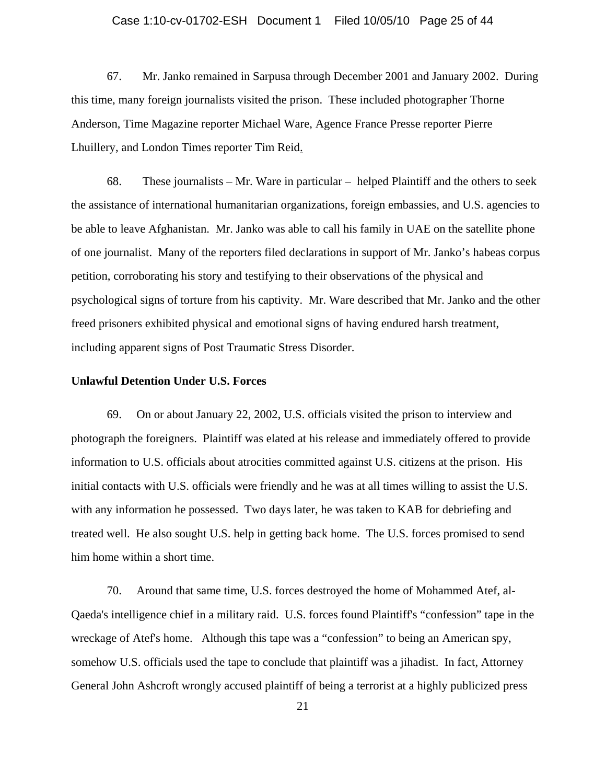#### Case 1:10-cv-01702-ESH Document 1 Filed 10/05/10 Page 25 of 44

67. Mr. Janko remained in Sarpusa through December 2001 and January 2002. During this time, many foreign journalists visited the prison. These included photographer Thorne Anderson, Time Magazine reporter Michael Ware, Agence France Presse reporter Pierre Lhuillery, and London Times reporter Tim Reid.

68. These journalists – Mr. Ware in particular – helped Plaintiff and the others to seek the assistance of international humanitarian organizations, foreign embassies, and U.S. agencies to be able to leave Afghanistan. Mr. Janko was able to call his family in UAE on the satellite phone of one journalist. Many of the reporters filed declarations in support of Mr. Janko's habeas corpus petition, corroborating his story and testifying to their observations of the physical and psychological signs of torture from his captivity. Mr. Ware described that Mr. Janko and the other freed prisoners exhibited physical and emotional signs of having endured harsh treatment, including apparent signs of Post Traumatic Stress Disorder.

#### **Unlawful Detention Under U.S. Forces**

69. On or about January 22, 2002, U.S. officials visited the prison to interview and photograph the foreigners. Plaintiff was elated at his release and immediately offered to provide information to U.S. officials about atrocities committed against U.S. citizens at the prison. His initial contacts with U.S. officials were friendly and he was at all times willing to assist the U.S. with any information he possessed. Two days later, he was taken to KAB for debriefing and treated well. He also sought U.S. help in getting back home. The U.S. forces promised to send him home within a short time.

 70. Around that same time, U.S. forces destroyed the home of Mohammed Atef, al-Qaeda's intelligence chief in a military raid. U.S. forces found Plaintiff's "confession" tape in the wreckage of Atef's home. Although this tape was a "confession" to being an American spy, somehow U.S. officials used the tape to conclude that plaintiff was a jihadist. In fact, Attorney General John Ashcroft wrongly accused plaintiff of being a terrorist at a highly publicized press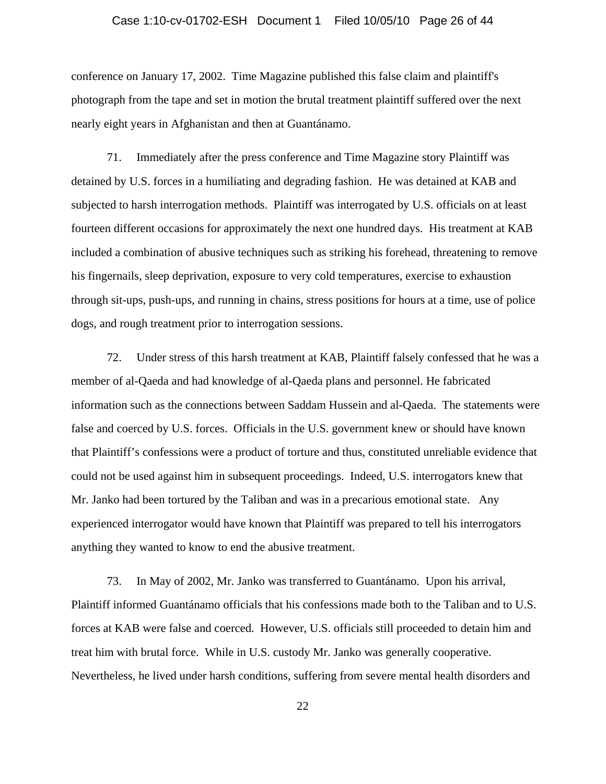#### Case 1:10-cv-01702-ESH Document 1 Filed 10/05/10 Page 26 of 44

conference on January 17, 2002. Time Magazine published this false claim and plaintiff's photograph from the tape and set in motion the brutal treatment plaintiff suffered over the next nearly eight years in Afghanistan and then at Guantánamo.

71. Immediately after the press conference and Time Magazine story Plaintiff was detained by U.S. forces in a humiliating and degrading fashion. He was detained at KAB and subjected to harsh interrogation methods. Plaintiff was interrogated by U.S. officials on at least fourteen different occasions for approximately the next one hundred days. His treatment at KAB included a combination of abusive techniques such as striking his forehead, threatening to remove his fingernails, sleep deprivation, exposure to very cold temperatures, exercise to exhaustion through sit-ups, push-ups, and running in chains, stress positions for hours at a time, use of police dogs, and rough treatment prior to interrogation sessions.

72. Under stress of this harsh treatment at KAB, Plaintiff falsely confessed that he was a member of al-Qaeda and had knowledge of al-Qaeda plans and personnel. He fabricated information such as the connections between Saddam Hussein and al-Qaeda. The statements were false and coerced by U.S. forces. Officials in the U.S. government knew or should have known that Plaintiff's confessions were a product of torture and thus, constituted unreliable evidence that could not be used against him in subsequent proceedings. Indeed, U.S. interrogators knew that Mr. Janko had been tortured by the Taliban and was in a precarious emotional state. Any experienced interrogator would have known that Plaintiff was prepared to tell his interrogators anything they wanted to know to end the abusive treatment.

73. In May of 2002, Mr. Janko was transferred to Guantánamo. Upon his arrival, Plaintiff informed Guantánamo officials that his confessions made both to the Taliban and to U.S. forces at KAB were false and coerced. However, U.S. officials still proceeded to detain him and treat him with brutal force. While in U.S. custody Mr. Janko was generally cooperative. Nevertheless, he lived under harsh conditions, suffering from severe mental health disorders and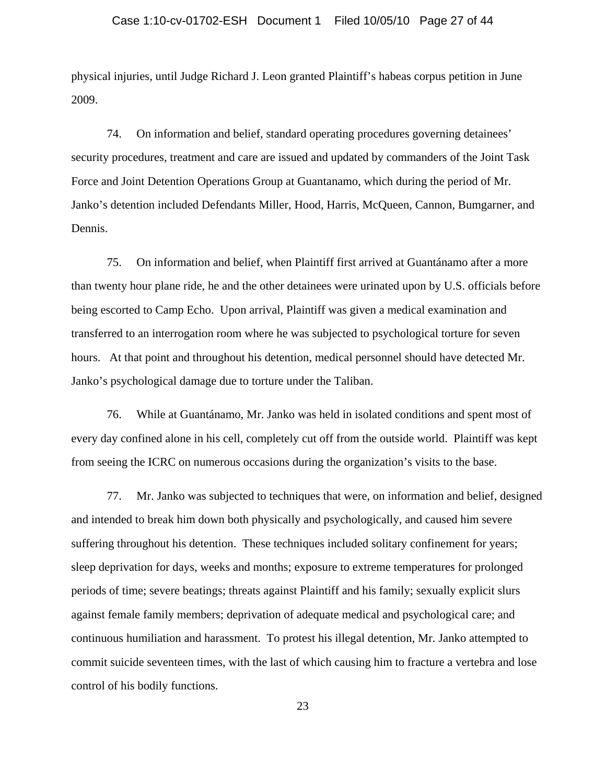#### Case 1:10-cv-01702-ESH Document 1 Filed 10/05/10 Page 27 of 44

physical injuries, until Judge Richard J. Leon granted Plaintiff's habeas corpus petition in June 2009.

74. On information and belief, standard operating procedures governing detainees' security procedures, treatment and care are issued and updated by commanders of the Joint Task Force and Joint Detention Operations Group at Guantanamo, which during the period of Mr. Janko's detention included Defendants Miller, Hood, Harris, McQueen, Cannon, Bumgarner, and Dennis.

75. On information and belief, when Plaintiff first arrived at Guantánamo after a more than twenty hour plane ride, he and the other detainees were urinated upon by U.S. officials before being escorted to Camp Echo. Upon arrival, Plaintiff was given a medical examination and transferred to an interrogation room where he was subjected to psychological torture for seven hours. At that point and throughout his detention, medical personnel should have detected Mr. Janko's psychological damage due to torture under the Taliban.

76. While at Guantánamo, Mr. Janko was held in isolated conditions and spent most of every day confined alone in his cell, completely cut off from the outside world. Plaintiff was kept from seeing the ICRC on numerous occasions during the organization's visits to the base.

77. Mr. Janko was subjected to techniques that were, on information and belief, designed and intended to break him down both physically and psychologically, and caused him severe suffering throughout his detention. These techniques included solitary confinement for years; sleep deprivation for days, weeks and months; exposure to extreme temperatures for prolonged periods of time; severe beatings; threats against Plaintiff and his family; sexually explicit slurs against female family members; deprivation of adequate medical and psychological care; and continuous humiliation and harassment. To protest his illegal detention, Mr. Janko attempted to commit suicide seventeen times, with the last of which causing him to fracture a vertebra and lose control of his bodily functions.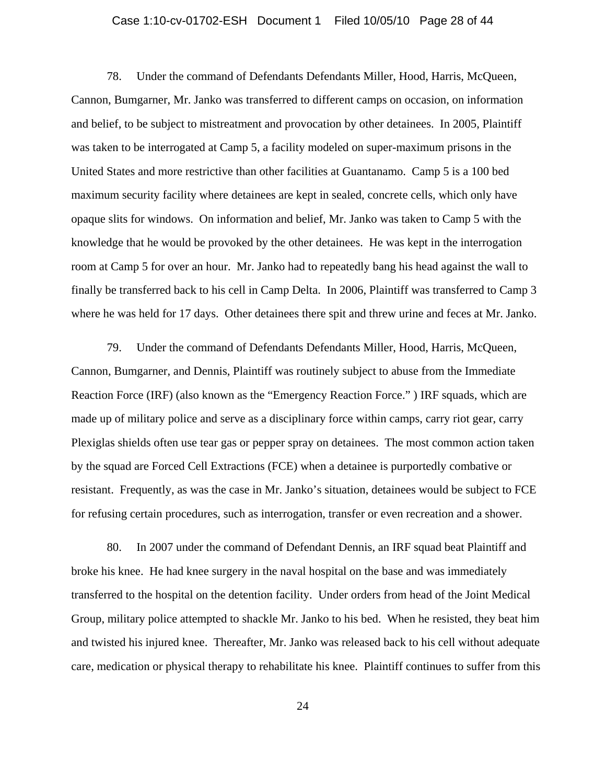### Case 1:10-cv-01702-ESH Document 1 Filed 10/05/10 Page 28 of 44

78. Under the command of Defendants Defendants Miller, Hood, Harris, McQueen, Cannon, Bumgarner, Mr. Janko was transferred to different camps on occasion, on information and belief, to be subject to mistreatment and provocation by other detainees. In 2005, Plaintiff was taken to be interrogated at Camp 5, a facility modeled on super-maximum prisons in the United States and more restrictive than other facilities at Guantanamo. Camp 5 is a 100 bed maximum security facility where detainees are kept in sealed, concrete cells, which only have opaque slits for windows. On information and belief, Mr. Janko was taken to Camp 5 with the knowledge that he would be provoked by the other detainees. He was kept in the interrogation room at Camp 5 for over an hour. Mr. Janko had to repeatedly bang his head against the wall to finally be transferred back to his cell in Camp Delta. In 2006, Plaintiff was transferred to Camp 3 where he was held for 17 days. Other detainees there spit and threw urine and feces at Mr. Janko.

79. Under the command of Defendants Defendants Miller, Hood, Harris, McQueen, Cannon, Bumgarner, and Dennis, Plaintiff was routinely subject to abuse from the Immediate Reaction Force (IRF) (also known as the "Emergency Reaction Force." ) IRF squads, which are made up of military police and serve as a disciplinary force within camps, carry riot gear, carry Plexiglas shields often use tear gas or pepper spray on detainees. The most common action taken by the squad are Forced Cell Extractions (FCE) when a detainee is purportedly combative or resistant. Frequently, as was the case in Mr. Janko's situation, detainees would be subject to FCE for refusing certain procedures, such as interrogation, transfer or even recreation and a shower.

80. In 2007 under the command of Defendant Dennis, an IRF squad beat Plaintiff and broke his knee. He had knee surgery in the naval hospital on the base and was immediately transferred to the hospital on the detention facility. Under orders from head of the Joint Medical Group, military police attempted to shackle Mr. Janko to his bed. When he resisted, they beat him and twisted his injured knee. Thereafter, Mr. Janko was released back to his cell without adequate care, medication or physical therapy to rehabilitate his knee. Plaintiff continues to suffer from this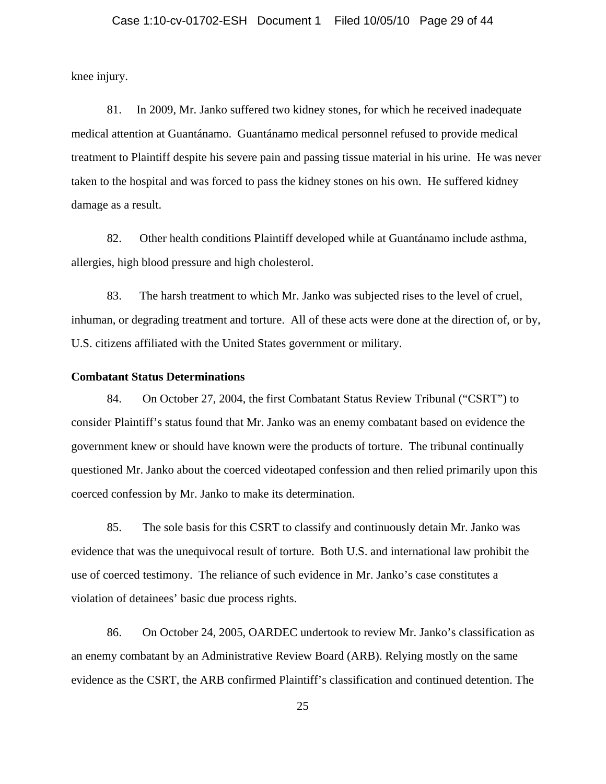knee injury.

81. In 2009, Mr. Janko suffered two kidney stones, for which he received inadequate medical attention at Guantánamo. Guantánamo medical personnel refused to provide medical treatment to Plaintiff despite his severe pain and passing tissue material in his urine. He was never taken to the hospital and was forced to pass the kidney stones on his own. He suffered kidney damage as a result.

82. Other health conditions Plaintiff developed while at Guantánamo include asthma, allergies, high blood pressure and high cholesterol.

83. The harsh treatment to which Mr. Janko was subjected rises to the level of cruel, inhuman, or degrading treatment and torture. All of these acts were done at the direction of, or by, U.S. citizens affiliated with the United States government or military.

#### **Combatant Status Determinations**

84. On October 27, 2004, the first Combatant Status Review Tribunal ("CSRT") to consider Plaintiff's status found that Mr. Janko was an enemy combatant based on evidence the government knew or should have known were the products of torture. The tribunal continually questioned Mr. Janko about the coerced videotaped confession and then relied primarily upon this coerced confession by Mr. Janko to make its determination.

85. The sole basis for this CSRT to classify and continuously detain Mr. Janko was evidence that was the unequivocal result of torture. Both U.S. and international law prohibit the use of coerced testimony. The reliance of such evidence in Mr. Janko's case constitutes a violation of detainees' basic due process rights.

86. On October 24, 2005, OARDEC undertook to review Mr. Janko's classification as an enemy combatant by an Administrative Review Board (ARB). Relying mostly on the same evidence as the CSRT, the ARB confirmed Plaintiff's classification and continued detention. The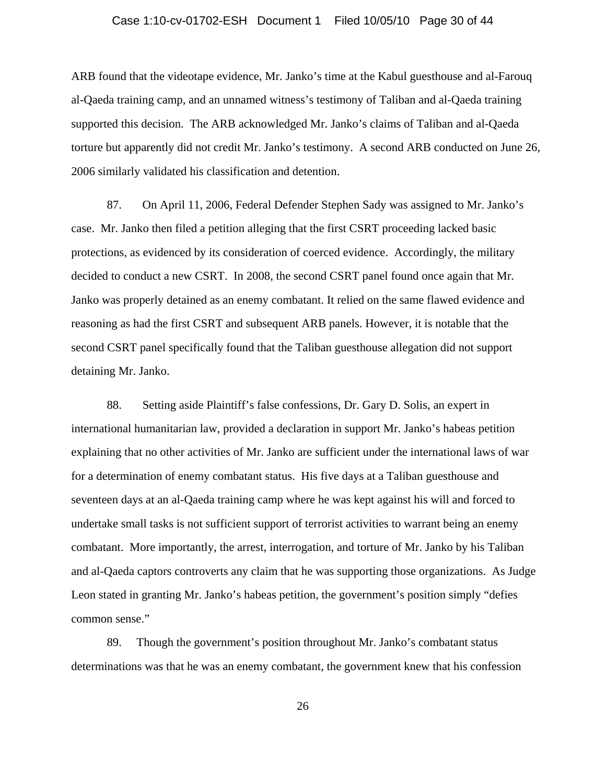#### Case 1:10-cv-01702-ESH Document 1 Filed 10/05/10 Page 30 of 44

ARB found that the videotape evidence, Mr. Janko's time at the Kabul guesthouse and al-Farouq al-Qaeda training camp, and an unnamed witness's testimony of Taliban and al-Qaeda training supported this decision. The ARB acknowledged Mr. Janko's claims of Taliban and al-Qaeda torture but apparently did not credit Mr. Janko's testimony. A second ARB conducted on June 26, 2006 similarly validated his classification and detention.

87. On April 11, 2006, Federal Defender Stephen Sady was assigned to Mr. Janko's case. Mr. Janko then filed a petition alleging that the first CSRT proceeding lacked basic protections, as evidenced by its consideration of coerced evidence. Accordingly, the military decided to conduct a new CSRT. In 2008, the second CSRT panel found once again that Mr. Janko was properly detained as an enemy combatant. It relied on the same flawed evidence and reasoning as had the first CSRT and subsequent ARB panels. However, it is notable that the second CSRT panel specifically found that the Taliban guesthouse allegation did not support detaining Mr. Janko.

88. Setting aside Plaintiff's false confessions, Dr. Gary D. Solis, an expert in international humanitarian law, provided a declaration in support Mr. Janko's habeas petition explaining that no other activities of Mr. Janko are sufficient under the international laws of war for a determination of enemy combatant status. His five days at a Taliban guesthouse and seventeen days at an al-Qaeda training camp where he was kept against his will and forced to undertake small tasks is not sufficient support of terrorist activities to warrant being an enemy combatant. More importantly, the arrest, interrogation, and torture of Mr. Janko by his Taliban and al-Qaeda captors controverts any claim that he was supporting those organizations. As Judge Leon stated in granting Mr. Janko's habeas petition, the government's position simply "defies common sense."

89. Though the government's position throughout Mr. Janko's combatant status determinations was that he was an enemy combatant, the government knew that his confession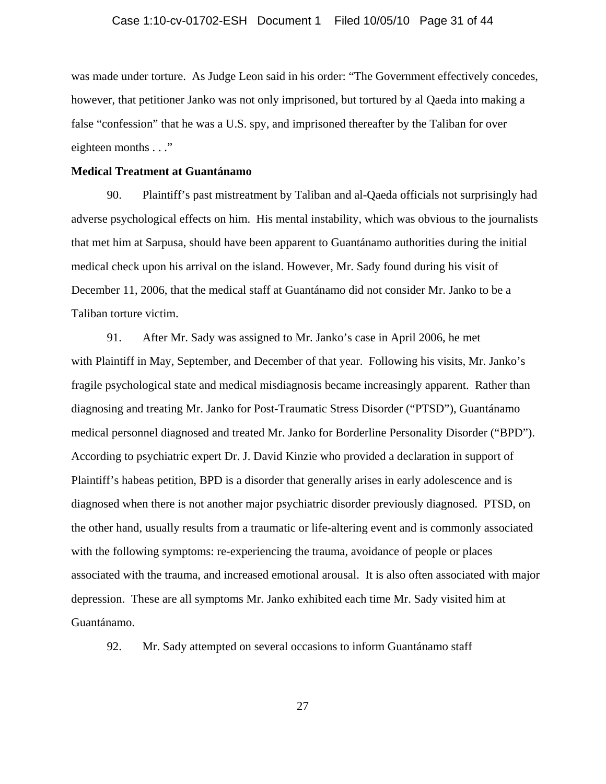#### Case 1:10-cv-01702-ESH Document 1 Filed 10/05/10 Page 31 of 44

was made under torture. As Judge Leon said in his order: "The Government effectively concedes, however, that petitioner Janko was not only imprisoned, but tortured by al Qaeda into making a false "confession" that he was a U.S. spy, and imprisoned thereafter by the Taliban for over eighteen months . . ."

#### **Medical Treatment at Guantánamo**

90. Plaintiff's past mistreatment by Taliban and al-Qaeda officials not surprisingly had adverse psychological effects on him. His mental instability, which was obvious to the journalists that met him at Sarpusa, should have been apparent to Guantánamo authorities during the initial medical check upon his arrival on the island. However, Mr. Sady found during his visit of December 11, 2006, that the medical staff at Guantánamo did not consider Mr. Janko to be a Taliban torture victim.

91. After Mr. Sady was assigned to Mr. Janko's case in April 2006, he met with Plaintiff in May, September, and December of that year. Following his visits, Mr. Janko's fragile psychological state and medical misdiagnosis became increasingly apparent. Rather than diagnosing and treating Mr. Janko for Post-Traumatic Stress Disorder ("PTSD"), Guantánamo medical personnel diagnosed and treated Mr. Janko for Borderline Personality Disorder ("BPD"). According to psychiatric expert Dr. J. David Kinzie who provided a declaration in support of Plaintiff's habeas petition, BPD is a disorder that generally arises in early adolescence and is diagnosed when there is not another major psychiatric disorder previously diagnosed. PTSD, on the other hand, usually results from a traumatic or life-altering event and is commonly associated with the following symptoms: re-experiencing the trauma, avoidance of people or places associated with the trauma, and increased emotional arousal. It is also often associated with major depression. These are all symptoms Mr. Janko exhibited each time Mr. Sady visited him at Guantánamo.

92. Mr. Sady attempted on several occasions to inform Guantánamo staff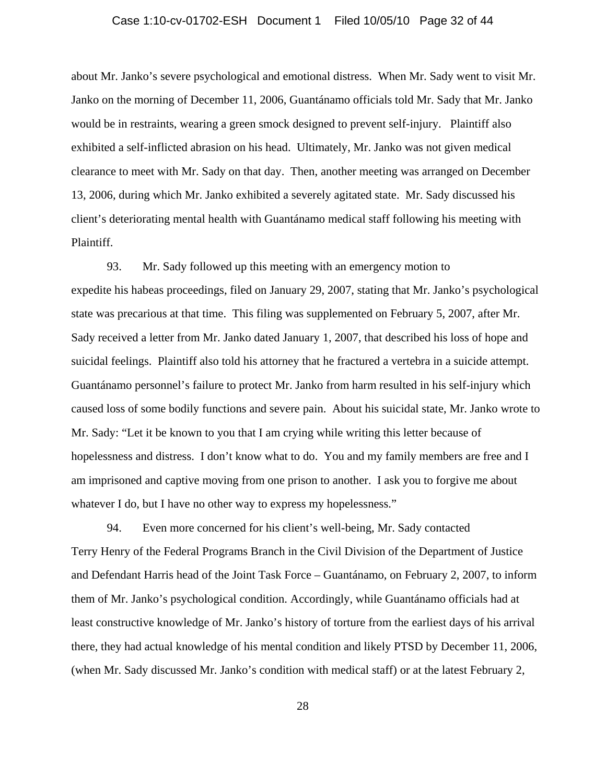#### Case 1:10-cv-01702-ESH Document 1 Filed 10/05/10 Page 32 of 44

about Mr. Janko's severe psychological and emotional distress. When Mr. Sady went to visit Mr. Janko on the morning of December 11, 2006, Guantánamo officials told Mr. Sady that Mr. Janko would be in restraints, wearing a green smock designed to prevent self-injury. Plaintiff also exhibited a self-inflicted abrasion on his head. Ultimately, Mr. Janko was not given medical clearance to meet with Mr. Sady on that day. Then, another meeting was arranged on December 13, 2006, during which Mr. Janko exhibited a severely agitated state. Mr. Sady discussed his client's deteriorating mental health with Guantánamo medical staff following his meeting with Plaintiff.

93. Mr. Sady followed up this meeting with an emergency motion to expedite his habeas proceedings, filed on January 29, 2007, stating that Mr. Janko's psychological state was precarious at that time. This filing was supplemented on February 5, 2007, after Mr. Sady received a letter from Mr. Janko dated January 1, 2007, that described his loss of hope and suicidal feelings. Plaintiff also told his attorney that he fractured a vertebra in a suicide attempt. Guantánamo personnel's failure to protect Mr. Janko from harm resulted in his self-injury which caused loss of some bodily functions and severe pain. About his suicidal state, Mr. Janko wrote to Mr. Sady: "Let it be known to you that I am crying while writing this letter because of hopelessness and distress. I don't know what to do. You and my family members are free and I am imprisoned and captive moving from one prison to another. I ask you to forgive me about whatever I do, but I have no other way to express my hopelessness."

94. Even more concerned for his client's well-being, Mr. Sady contacted Terry Henry of the Federal Programs Branch in the Civil Division of the Department of Justice and Defendant Harris head of the Joint Task Force – Guantánamo, on February 2, 2007, to inform them of Mr. Janko's psychological condition. Accordingly, while Guantánamo officials had at least constructive knowledge of Mr. Janko's history of torture from the earliest days of his arrival there, they had actual knowledge of his mental condition and likely PTSD by December 11, 2006, (when Mr. Sady discussed Mr. Janko's condition with medical staff) or at the latest February 2,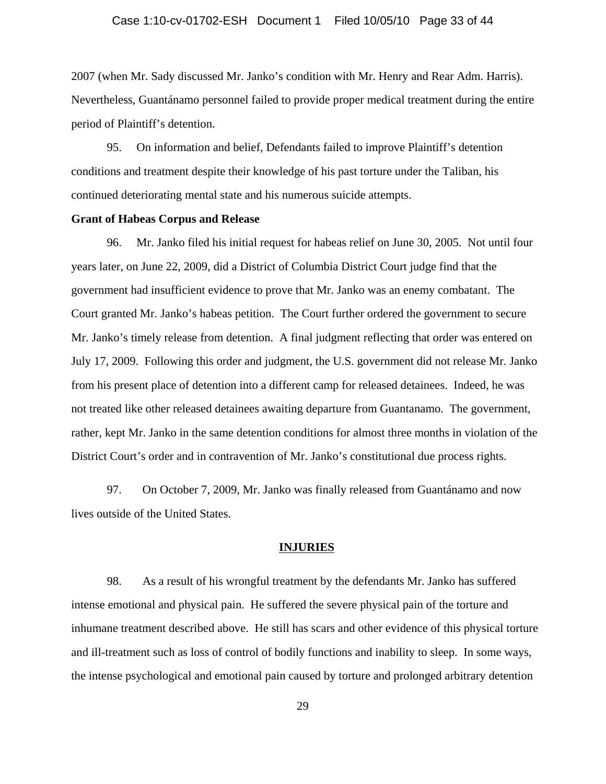#### Case 1:10-cv-01702-ESH Document 1 Filed 10/05/10 Page 33 of 44

2007 (when Mr. Sady discussed Mr. Janko's condition with Mr. Henry and Rear Adm. Harris). Nevertheless, Guantánamo personnel failed to provide proper medical treatment during the entire period of Plaintiff's detention.

95. On information and belief, Defendants failed to improve Plaintiff's detention conditions and treatment despite their knowledge of his past torture under the Taliban, his continued deteriorating mental state and his numerous suicide attempts.

#### **Grant of Habeas Corpus and Release**

96. Mr. Janko filed his initial request for habeas relief on June 30, 2005. Not until four years later, on June 22, 2009, did a District of Columbia District Court judge find that the government had insufficient evidence to prove that Mr. Janko was an enemy combatant. The Court granted Mr. Janko's habeas petition. The Court further ordered the government to secure Mr. Janko's timely release from detention. A final judgment reflecting that order was entered on July 17, 2009. Following this order and judgment, the U.S. government did not release Mr. Janko from his present place of detention into a different camp for released detainees. Indeed, he was not treated like other released detainees awaiting departure from Guantanamo. The government, rather, kept Mr. Janko in the same detention conditions for almost three months in violation of the District Court's order and in contravention of Mr. Janko's constitutional due process rights.

97. On October 7, 2009, Mr. Janko was finally released from Guantánamo and now lives outside of the United States.

#### **INJURIES**

98. As a result of his wrongful treatment by the defendants Mr. Janko has suffered intense emotional and physical pain. He suffered the severe physical pain of the torture and inhumane treatment described above. He still has scars and other evidence of this physical torture and ill-treatment such as loss of control of bodily functions and inability to sleep. In some ways, the intense psychological and emotional pain caused by torture and prolonged arbitrary detention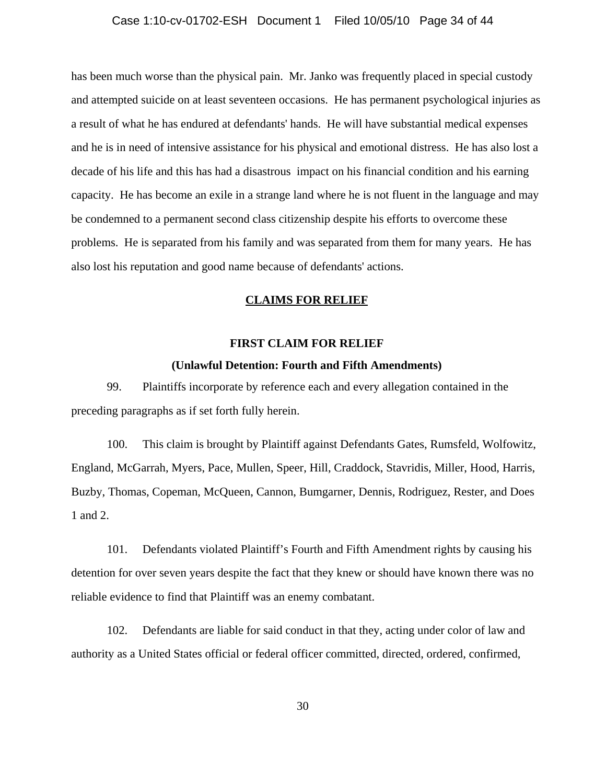#### Case 1:10-cv-01702-ESH Document 1 Filed 10/05/10 Page 34 of 44

has been much worse than the physical pain. Mr. Janko was frequently placed in special custody and attempted suicide on at least seventeen occasions. He has permanent psychological injuries as a result of what he has endured at defendants' hands. He will have substantial medical expenses and he is in need of intensive assistance for his physical and emotional distress. He has also lost a decade of his life and this has had a disastrous impact on his financial condition and his earning capacity. He has become an exile in a strange land where he is not fluent in the language and may be condemned to a permanent second class citizenship despite his efforts to overcome these problems. He is separated from his family and was separated from them for many years. He has also lost his reputation and good name because of defendants' actions.

## **CLAIMS FOR RELIEF**

## **FIRST CLAIM FOR RELIEF**

## **(Unlawful Detention: Fourth and Fifth Amendments)**

99. Plaintiffs incorporate by reference each and every allegation contained in the preceding paragraphs as if set forth fully herein.

100. This claim is brought by Plaintiff against Defendants Gates, Rumsfeld, Wolfowitz, England, McGarrah, Myers, Pace, Mullen, Speer, Hill, Craddock, Stavridis, Miller, Hood, Harris, Buzby, Thomas, Copeman, McQueen, Cannon, Bumgarner, Dennis, Rodriguez, Rester, and Does 1 and 2.

101. Defendants violated Plaintiff's Fourth and Fifth Amendment rights by causing his detention for over seven years despite the fact that they knew or should have known there was no reliable evidence to find that Plaintiff was an enemy combatant.

102. Defendants are liable for said conduct in that they, acting under color of law and authority as a United States official or federal officer committed, directed, ordered, confirmed,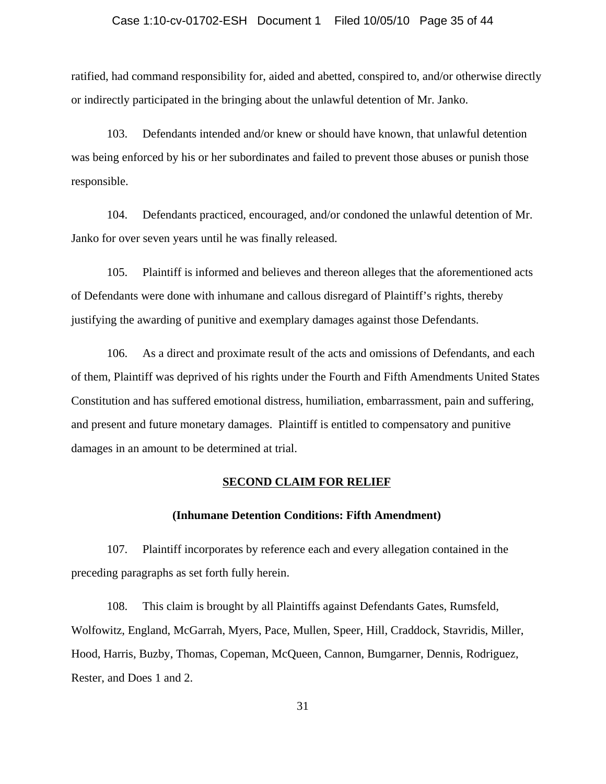#### Case 1:10-cv-01702-ESH Document 1 Filed 10/05/10 Page 35 of 44

ratified, had command responsibility for, aided and abetted, conspired to, and/or otherwise directly or indirectly participated in the bringing about the unlawful detention of Mr. Janko.

103. Defendants intended and/or knew or should have known, that unlawful detention was being enforced by his or her subordinates and failed to prevent those abuses or punish those responsible.

104. Defendants practiced, encouraged, and/or condoned the unlawful detention of Mr. Janko for over seven years until he was finally released.

105. Plaintiff is informed and believes and thereon alleges that the aforementioned acts of Defendants were done with inhumane and callous disregard of Plaintiff's rights, thereby justifying the awarding of punitive and exemplary damages against those Defendants.

106. As a direct and proximate result of the acts and omissions of Defendants, and each of them, Plaintiff was deprived of his rights under the Fourth and Fifth Amendments United States Constitution and has suffered emotional distress, humiliation, embarrassment, pain and suffering, and present and future monetary damages. Plaintiff is entitled to compensatory and punitive damages in an amount to be determined at trial.

## **SECOND CLAIM FOR RELIEF**

## **(Inhumane Detention Conditions: Fifth Amendment)**

107. Plaintiff incorporates by reference each and every allegation contained in the preceding paragraphs as set forth fully herein.

108. This claim is brought by all Plaintiffs against Defendants Gates, Rumsfeld, Wolfowitz, England, McGarrah, Myers, Pace, Mullen, Speer, Hill, Craddock, Stavridis, Miller, Hood, Harris, Buzby, Thomas, Copeman, McQueen, Cannon, Bumgarner, Dennis, Rodriguez, Rester, and Does 1 and 2.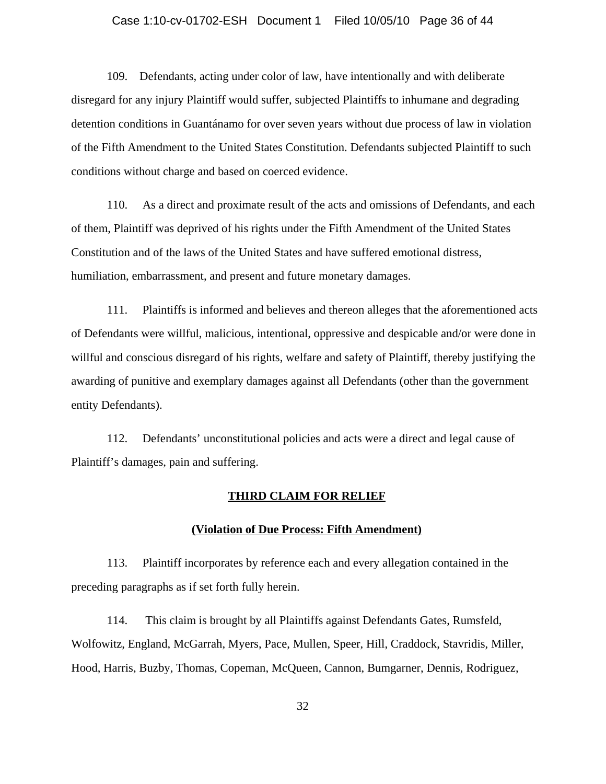#### Case 1:10-cv-01702-ESH Document 1 Filed 10/05/10 Page 36 of 44

109. Defendants, acting under color of law, have intentionally and with deliberate disregard for any injury Plaintiff would suffer, subjected Plaintiffs to inhumane and degrading detention conditions in Guantánamo for over seven years without due process of law in violation of the Fifth Amendment to the United States Constitution. Defendants subjected Plaintiff to such conditions without charge and based on coerced evidence.

110. As a direct and proximate result of the acts and omissions of Defendants, and each of them, Plaintiff was deprived of his rights under the Fifth Amendment of the United States Constitution and of the laws of the United States and have suffered emotional distress, humiliation, embarrassment, and present and future monetary damages.

111. Plaintiffs is informed and believes and thereon alleges that the aforementioned acts of Defendants were willful, malicious, intentional, oppressive and despicable and/or were done in willful and conscious disregard of his rights, welfare and safety of Plaintiff, thereby justifying the awarding of punitive and exemplary damages against all Defendants (other than the government entity Defendants).

112. Defendants' unconstitutional policies and acts were a direct and legal cause of Plaintiff's damages, pain and suffering.

## **THIRD CLAIM FOR RELIEF**

## **(Violation of Due Process: Fifth Amendment)**

113. Plaintiff incorporates by reference each and every allegation contained in the preceding paragraphs as if set forth fully herein.

114. This claim is brought by all Plaintiffs against Defendants Gates, Rumsfeld, Wolfowitz, England, McGarrah, Myers, Pace, Mullen, Speer, Hill, Craddock, Stavridis, Miller, Hood, Harris, Buzby, Thomas, Copeman, McQueen, Cannon, Bumgarner, Dennis, Rodriguez,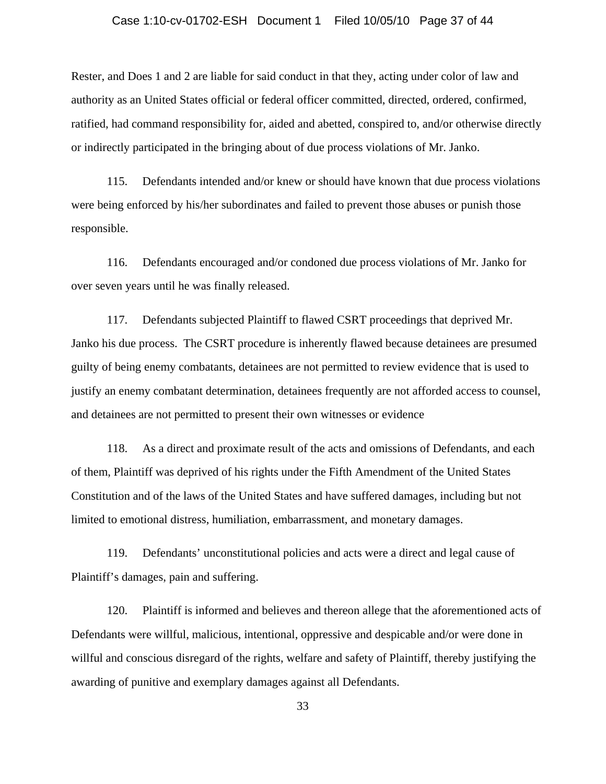#### Case 1:10-cv-01702-ESH Document 1 Filed 10/05/10 Page 37 of 44

Rester, and Does 1 and 2 are liable for said conduct in that they, acting under color of law and authority as an United States official or federal officer committed, directed, ordered, confirmed, ratified, had command responsibility for, aided and abetted, conspired to, and/or otherwise directly or indirectly participated in the bringing about of due process violations of Mr. Janko.

115. Defendants intended and/or knew or should have known that due process violations were being enforced by his/her subordinates and failed to prevent those abuses or punish those responsible.

116. Defendants encouraged and/or condoned due process violations of Mr. Janko for over seven years until he was finally released.

117. Defendants subjected Plaintiff to flawed CSRT proceedings that deprived Mr. Janko his due process. The CSRT procedure is inherently flawed because detainees are presumed guilty of being enemy combatants, detainees are not permitted to review evidence that is used to justify an enemy combatant determination, detainees frequently are not afforded access to counsel, and detainees are not permitted to present their own witnesses or evidence

118. As a direct and proximate result of the acts and omissions of Defendants, and each of them, Plaintiff was deprived of his rights under the Fifth Amendment of the United States Constitution and of the laws of the United States and have suffered damages, including but not limited to emotional distress, humiliation, embarrassment, and monetary damages.

119. Defendants' unconstitutional policies and acts were a direct and legal cause of Plaintiff's damages, pain and suffering.

120. Plaintiff is informed and believes and thereon allege that the aforementioned acts of Defendants were willful, malicious, intentional, oppressive and despicable and/or were done in willful and conscious disregard of the rights, welfare and safety of Plaintiff, thereby justifying the awarding of punitive and exemplary damages against all Defendants.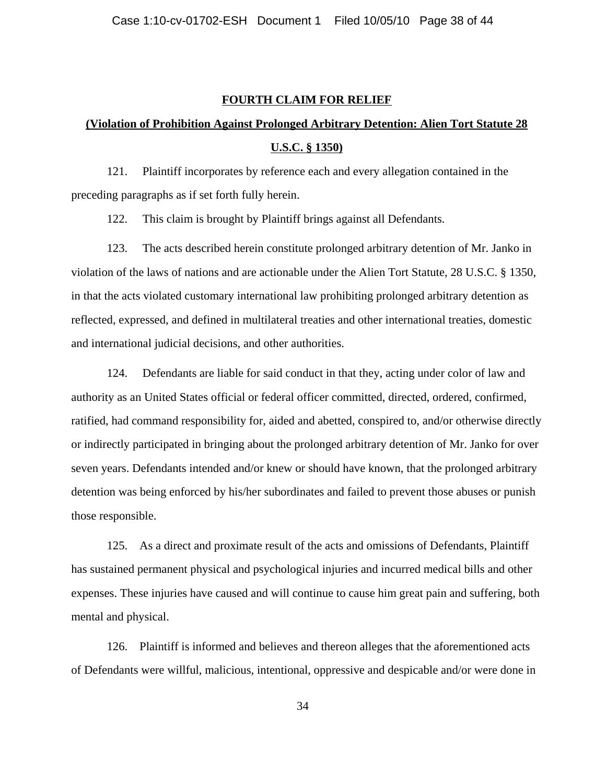#### **FOURTH CLAIM FOR RELIEF**

# **(Violation of Prohibition Against Prolonged Arbitrary Detention: Alien Tort Statute 28 U.S.C. § 1350)**

121. Plaintiff incorporates by reference each and every allegation contained in the preceding paragraphs as if set forth fully herein.

122. This claim is brought by Plaintiff brings against all Defendants.

123. The acts described herein constitute prolonged arbitrary detention of Mr. Janko in violation of the laws of nations and are actionable under the Alien Tort Statute, 28 U.S.C. § 1350, in that the acts violated customary international law prohibiting prolonged arbitrary detention as reflected, expressed, and defined in multilateral treaties and other international treaties, domestic and international judicial decisions, and other authorities.

124. Defendants are liable for said conduct in that they, acting under color of law and authority as an United States official or federal officer committed, directed, ordered, confirmed, ratified, had command responsibility for, aided and abetted, conspired to, and/or otherwise directly or indirectly participated in bringing about the prolonged arbitrary detention of Mr. Janko for over seven years. Defendants intended and/or knew or should have known, that the prolonged arbitrary detention was being enforced by his/her subordinates and failed to prevent those abuses or punish those responsible.

125. As a direct and proximate result of the acts and omissions of Defendants, Plaintiff has sustained permanent physical and psychological injuries and incurred medical bills and other expenses. These injuries have caused and will continue to cause him great pain and suffering, both mental and physical.

126. Plaintiff is informed and believes and thereon alleges that the aforementioned acts of Defendants were willful, malicious, intentional, oppressive and despicable and/or were done in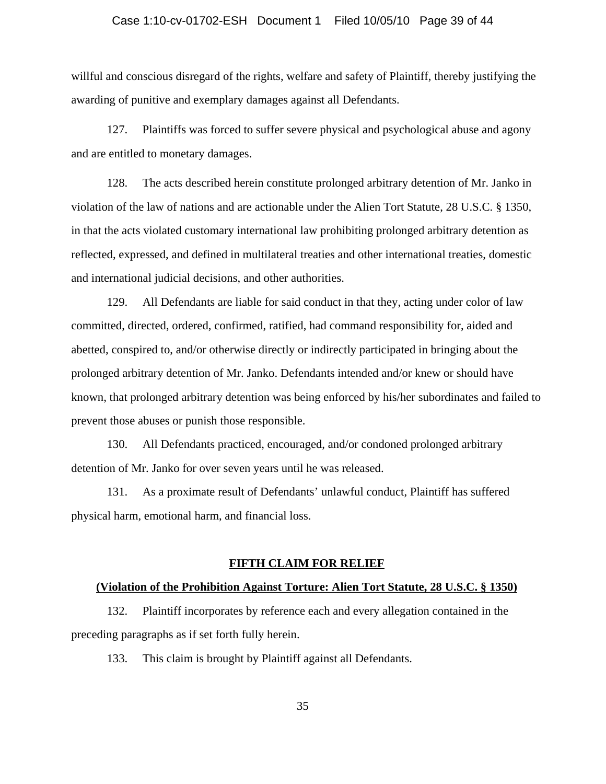# Case 1:10-cv-01702-ESH Document 1 Filed 10/05/10 Page 39 of 44

willful and conscious disregard of the rights, welfare and safety of Plaintiff, thereby justifying the awarding of punitive and exemplary damages against all Defendants.

127. Plaintiffs was forced to suffer severe physical and psychological abuse and agony and are entitled to monetary damages.

128. The acts described herein constitute prolonged arbitrary detention of Mr. Janko in violation of the law of nations and are actionable under the Alien Tort Statute, 28 U.S.C. § 1350, in that the acts violated customary international law prohibiting prolonged arbitrary detention as reflected, expressed, and defined in multilateral treaties and other international treaties, domestic and international judicial decisions, and other authorities.

129. All Defendants are liable for said conduct in that they, acting under color of law committed, directed, ordered, confirmed, ratified, had command responsibility for, aided and abetted, conspired to, and/or otherwise directly or indirectly participated in bringing about the prolonged arbitrary detention of Mr. Janko. Defendants intended and/or knew or should have known, that prolonged arbitrary detention was being enforced by his/her subordinates and failed to prevent those abuses or punish those responsible.

130. All Defendants practiced, encouraged, and/or condoned prolonged arbitrary detention of Mr. Janko for over seven years until he was released.

131. As a proximate result of Defendants' unlawful conduct, Plaintiff has suffered physical harm, emotional harm, and financial loss.

## **FIFTH CLAIM FOR RELIEF**

#### **(Violation of the Prohibition Against Torture: Alien Tort Statute, 28 U.S.C. § 1350)**

132. Plaintiff incorporates by reference each and every allegation contained in the preceding paragraphs as if set forth fully herein.

133. This claim is brought by Plaintiff against all Defendants.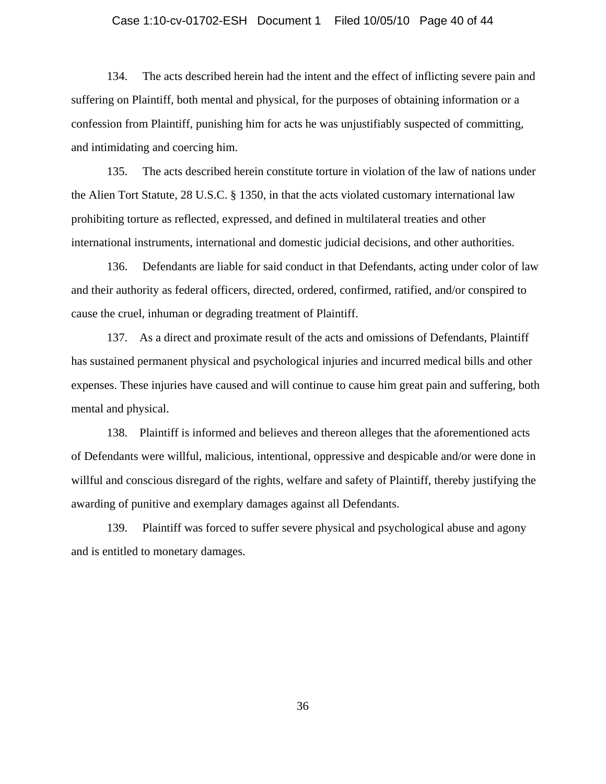#### Case 1:10-cv-01702-ESH Document 1 Filed 10/05/10 Page 40 of 44

134. The acts described herein had the intent and the effect of inflicting severe pain and suffering on Plaintiff, both mental and physical, for the purposes of obtaining information or a confession from Plaintiff, punishing him for acts he was unjustifiably suspected of committing, and intimidating and coercing him.

135. The acts described herein constitute torture in violation of the law of nations under the Alien Tort Statute, 28 U.S.C. § 1350, in that the acts violated customary international law prohibiting torture as reflected, expressed, and defined in multilateral treaties and other international instruments, international and domestic judicial decisions, and other authorities.

136. Defendants are liable for said conduct in that Defendants, acting under color of law and their authority as federal officers, directed, ordered, confirmed, ratified, and/or conspired to cause the cruel, inhuman or degrading treatment of Plaintiff.

137. As a direct and proximate result of the acts and omissions of Defendants, Plaintiff has sustained permanent physical and psychological injuries and incurred medical bills and other expenses. These injuries have caused and will continue to cause him great pain and suffering, both mental and physical.

138. Plaintiff is informed and believes and thereon alleges that the aforementioned acts of Defendants were willful, malicious, intentional, oppressive and despicable and/or were done in willful and conscious disregard of the rights, welfare and safety of Plaintiff, thereby justifying the awarding of punitive and exemplary damages against all Defendants.

139. Plaintiff was forced to suffer severe physical and psychological abuse and agony and is entitled to monetary damages.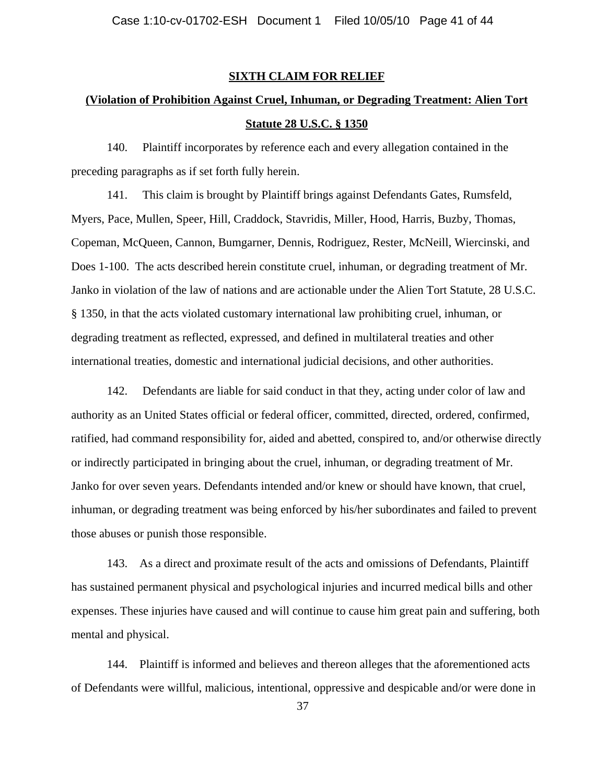#### **SIXTH CLAIM FOR RELIEF**

# **(Violation of Prohibition Against Cruel, Inhuman, or Degrading Treatment: Alien Tort Statute 28 U.S.C. § 1350**

140. Plaintiff incorporates by reference each and every allegation contained in the preceding paragraphs as if set forth fully herein.

141. This claim is brought by Plaintiff brings against Defendants Gates, Rumsfeld, Myers, Pace, Mullen, Speer, Hill, Craddock, Stavridis, Miller, Hood, Harris, Buzby, Thomas, Copeman, McQueen, Cannon, Bumgarner, Dennis, Rodriguez, Rester, McNeill, Wiercinski, and Does 1-100. The acts described herein constitute cruel, inhuman, or degrading treatment of Mr. Janko in violation of the law of nations and are actionable under the Alien Tort Statute, 28 U.S.C. § 1350, in that the acts violated customary international law prohibiting cruel, inhuman, or degrading treatment as reflected, expressed, and defined in multilateral treaties and other international treaties, domestic and international judicial decisions, and other authorities.

142. Defendants are liable for said conduct in that they, acting under color of law and authority as an United States official or federal officer, committed, directed, ordered, confirmed, ratified, had command responsibility for, aided and abetted, conspired to, and/or otherwise directly or indirectly participated in bringing about the cruel, inhuman, or degrading treatment of Mr. Janko for over seven years. Defendants intended and/or knew or should have known, that cruel, inhuman, or degrading treatment was being enforced by his/her subordinates and failed to prevent those abuses or punish those responsible.

143. As a direct and proximate result of the acts and omissions of Defendants, Plaintiff has sustained permanent physical and psychological injuries and incurred medical bills and other expenses. These injuries have caused and will continue to cause him great pain and suffering, both mental and physical.

144. Plaintiff is informed and believes and thereon alleges that the aforementioned acts of Defendants were willful, malicious, intentional, oppressive and despicable and/or were done in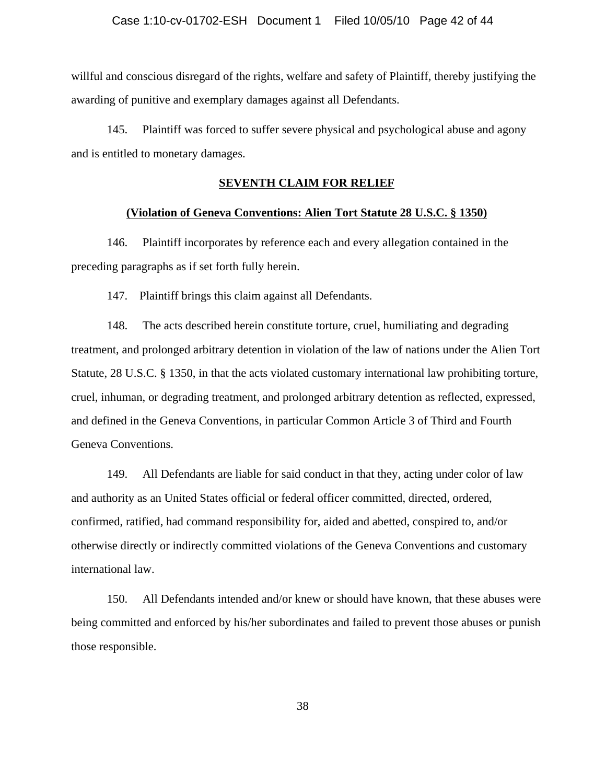willful and conscious disregard of the rights, welfare and safety of Plaintiff, thereby justifying the awarding of punitive and exemplary damages against all Defendants.

145. Plaintiff was forced to suffer severe physical and psychological abuse and agony and is entitled to monetary damages.

#### **SEVENTH CLAIM FOR RELIEF**

# **(Violation of Geneva Conventions: Alien Tort Statute 28 U.S.C. § 1350)**

146. Plaintiff incorporates by reference each and every allegation contained in the preceding paragraphs as if set forth fully herein.

147. Plaintiff brings this claim against all Defendants.

148. The acts described herein constitute torture, cruel, humiliating and degrading treatment, and prolonged arbitrary detention in violation of the law of nations under the Alien Tort Statute, 28 U.S.C. § 1350, in that the acts violated customary international law prohibiting torture, cruel, inhuman, or degrading treatment, and prolonged arbitrary detention as reflected, expressed, and defined in the Geneva Conventions, in particular Common Article 3 of Third and Fourth Geneva Conventions.

149. All Defendants are liable for said conduct in that they, acting under color of law and authority as an United States official or federal officer committed, directed, ordered, confirmed, ratified, had command responsibility for, aided and abetted, conspired to, and/or otherwise directly or indirectly committed violations of the Geneva Conventions and customary international law.

150. All Defendants intended and/or knew or should have known, that these abuses were being committed and enforced by his/her subordinates and failed to prevent those abuses or punish those responsible.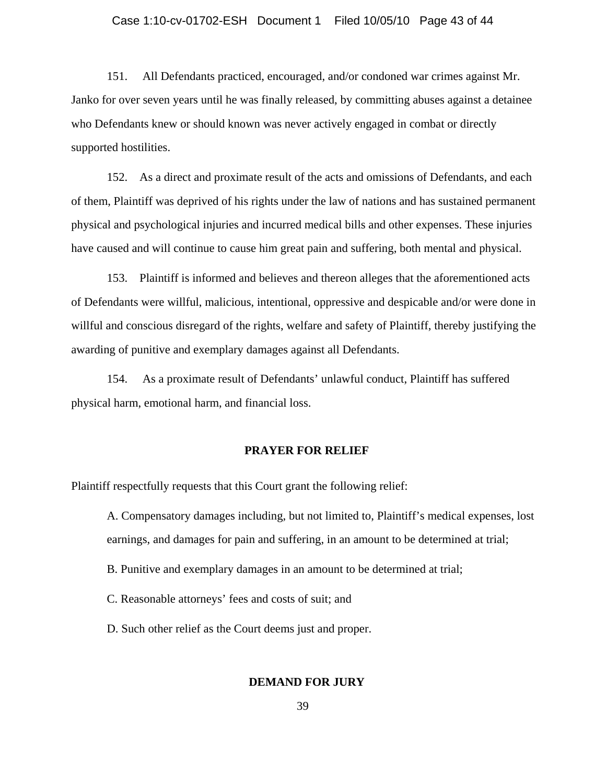#### Case 1:10-cv-01702-ESH Document 1 Filed 10/05/10 Page 43 of 44

151. All Defendants practiced, encouraged, and/or condoned war crimes against Mr. Janko for over seven years until he was finally released, by committing abuses against a detainee who Defendants knew or should known was never actively engaged in combat or directly supported hostilities.

152. As a direct and proximate result of the acts and omissions of Defendants, and each of them, Plaintiff was deprived of his rights under the law of nations and has sustained permanent physical and psychological injuries and incurred medical bills and other expenses. These injuries have caused and will continue to cause him great pain and suffering, both mental and physical.

153. Plaintiff is informed and believes and thereon alleges that the aforementioned acts of Defendants were willful, malicious, intentional, oppressive and despicable and/or were done in willful and conscious disregard of the rights, welfare and safety of Plaintiff, thereby justifying the awarding of punitive and exemplary damages against all Defendants.

154. As a proximate result of Defendants' unlawful conduct, Plaintiff has suffered physical harm, emotional harm, and financial loss.

#### **PRAYER FOR RELIEF**

Plaintiff respectfully requests that this Court grant the following relief:

A. Compensatory damages including, but not limited to, Plaintiff's medical expenses, lost earnings, and damages for pain and suffering, in an amount to be determined at trial;

B. Punitive and exemplary damages in an amount to be determined at trial;

C. Reasonable attorneys' fees and costs of suit; and

D. Such other relief as the Court deems just and proper.

#### **DEMAND FOR JURY**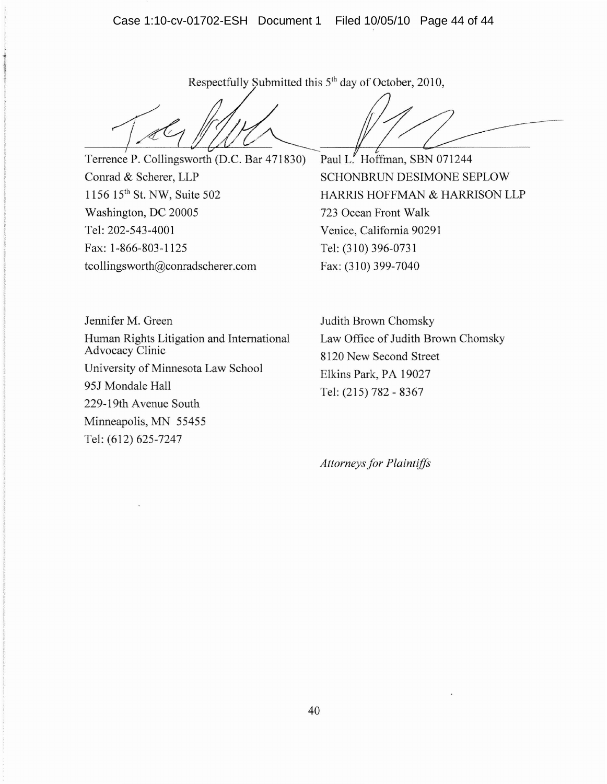Case 1:10-cv-01702-ESH Document 1 Filed 10/05/10 Page 44 of 44

Respectfully Submitted this 5<sup>th</sup> day of October, 2010,

Terrence P. Collingsworth (D.C. Bar 471830) Conrad & Scherer, LLP 1156 15<sup>th</sup> St. NW, Suite 502 Washington, DC 20005 Tel: 202-543-4001 Fax: 1-866-803-1125 tcollingsworth@conradscherer.com

Paul L. Hoffman, SBN 071244

SCHONBRUN DESIMONE SEPLOW HARRIS HOFFMAN & HARRISON LLP 723 Ocean Front Walk Venice, California 90291 Tel: (310) 396-0731 Fax: (310) 399-7040

Jennifer M. Green Human Rights Litigation and International Advocacy Clinic University of Minnesota Law School 95J Mondale Hall 229-19th Avenue South Minneapolis, MN 55455 Tel: (612) 625-7247

Judith Brown Chomsky Law Office of Judith Brown Chomsky 8120 New Second Street Elkins Park, PA 19027 Tel: (215) 782 - 8367

*Attorneysfor Plaintiffs*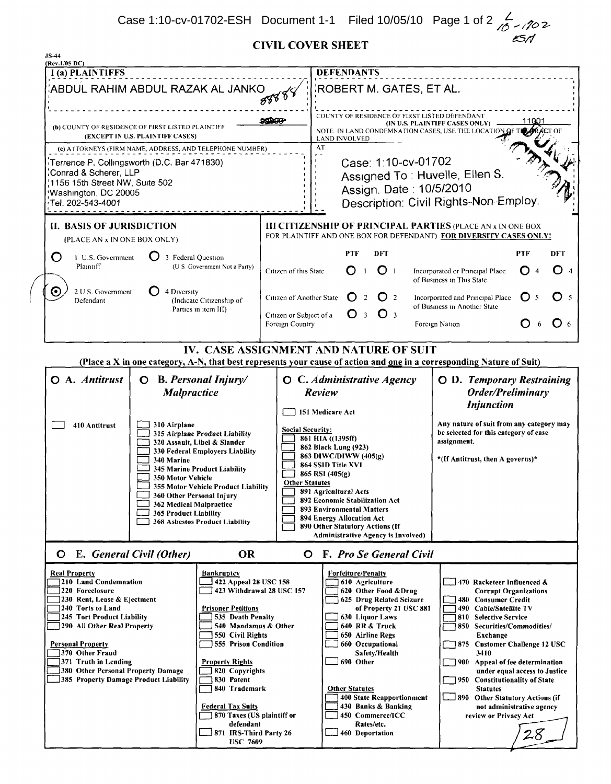**CIVIL COVER SHEET** 

| <b>JS-44</b><br>(Rev.1/05 DC)                                                                                         |                                                                                                                       |                                                    |                                                                                                                                   |                                                                                          |                                                    |                                                                                                       |                                                                                   |            |            |  |  |
|-----------------------------------------------------------------------------------------------------------------------|-----------------------------------------------------------------------------------------------------------------------|----------------------------------------------------|-----------------------------------------------------------------------------------------------------------------------------------|------------------------------------------------------------------------------------------|----------------------------------------------------|-------------------------------------------------------------------------------------------------------|-----------------------------------------------------------------------------------|------------|------------|--|--|
| I (a) PLAINTIFFS                                                                                                      | <b>DEFENDANTS</b>                                                                                                     |                                                    |                                                                                                                                   |                                                                                          |                                                    |                                                                                                       |                                                                                   |            |            |  |  |
| ABDUL RAHIM ABDUL RAZAK AL JANKO                                                                                      |                                                                                                                       |                                                    |                                                                                                                                   | ROBERT M. GATES, ET AL.                                                                  |                                                    |                                                                                                       |                                                                                   |            |            |  |  |
|                                                                                                                       |                                                                                                                       |                                                    |                                                                                                                                   |                                                                                          |                                                    |                                                                                                       |                                                                                   |            |            |  |  |
| (b) COUNTY OF RESIDENCE OF FIRST LISTED PLAINTIFF                                                                     |                                                                                                                       |                                                    |                                                                                                                                   | COUNTY OF RESIDENCE OF FIRST LISTED DEFENDANT<br>11001<br>(IN U.S. PLAINTIFF CASES ONLY) |                                                    |                                                                                                       |                                                                                   |            |            |  |  |
|                                                                                                                       | (EXCEPT IN U.S. PLAINTIFF CASES)                                                                                      |                                                    |                                                                                                                                   | NOTE IN LAND CONDEMNATION CASES, USE THE LOCATION OF<br><b>LAND INVOLVED</b>             |                                                    |                                                                                                       |                                                                                   |            |            |  |  |
| (c) ATTORNEYS (FIRM NAME, ADDRESS, AND TELEPHONE NUMBER)                                                              |                                                                                                                       |                                                    |                                                                                                                                   | AT                                                                                       |                                                    |                                                                                                       |                                                                                   |            |            |  |  |
| Terrence P. Collingsworth (D.C. Bar 471830)                                                                           |                                                                                                                       |                                                    |                                                                                                                                   | Case: 1:10-cv-01702                                                                      |                                                    |                                                                                                       |                                                                                   |            |            |  |  |
|                                                                                                                       | Conrad & Scherer, LLP<br>1156 15th Street NW, Suite 502                                                               |                                                    |                                                                                                                                   |                                                                                          |                                                    | Assigned To: Huvelle, Ellen S.                                                                        |                                                                                   |            |            |  |  |
| Washington, DC 20005                                                                                                  | Assign. Date: 10/5/2010<br>Description: Civil Rights-Non-Employ.                                                      |                                                    |                                                                                                                                   |                                                                                          |                                                    |                                                                                                       |                                                                                   |            |            |  |  |
| Tel. 202-543-4001 <sup>,</sup>                                                                                        |                                                                                                                       |                                                    |                                                                                                                                   |                                                                                          |                                                    |                                                                                                       |                                                                                   |            |            |  |  |
| <b>II. BASIS OF JURISDICTION</b>                                                                                      |                                                                                                                       |                                                    | III CITIZENSHIP OF PRINCIPAL PARTIES (PLACE AN x IN ONE BOX<br>FOR PLAINTIFF AND ONE BOX FOR DEFENDANT) FOR DIVERSITY CASES ONLY! |                                                                                          |                                                    |                                                                                                       |                                                                                   |            |            |  |  |
| (PLACE AN x IN ONE BOX ONLY)                                                                                          |                                                                                                                       |                                                    |                                                                                                                                   |                                                                                          |                                                    |                                                                                                       |                                                                                   |            |            |  |  |
| O                                                                                                                     | 1 U.S. Government<br>3 Federal Question                                                                               |                                                    |                                                                                                                                   | <b>PTF</b><br><b>DFT</b>                                                                 |                                                    |                                                                                                       |                                                                                   | <b>PTF</b> | <b>DFT</b> |  |  |
| Plaintiff                                                                                                             |                                                                                                                       | (U S Government Not a Party)                       | O <sub>1</sub><br>O.<br>$\mathbf{1}$<br>Citizen of this State                                                                     |                                                                                          |                                                    | $\mathbf{O}$ 4<br>O<br>Incorporated or Principal Place<br>$\overline{4}$<br>of Business in This State |                                                                                   |            |            |  |  |
| $\boldsymbol{\odot}$<br>2 U S. Government<br>4 Diversity<br>Defendant                                                 |                                                                                                                       | (Indicate Citizenship of                           | Citizen of Another State<br>2<br>O <sub>2</sub>                                                                                   |                                                                                          |                                                    | Incorporated and Principal Place<br>( ) 5<br>() 5<br>of Business in Another State                     |                                                                                   |            |            |  |  |
|                                                                                                                       |                                                                                                                       | Parties in item III)                               | Citizen or Subject of a                                                                                                           |                                                                                          | O <sub>3</sub><br>O <sub>3</sub>                   |                                                                                                       |                                                                                   | 6          |            |  |  |
|                                                                                                                       |                                                                                                                       |                                                    | Foreign Country                                                                                                                   |                                                                                          |                                                    |                                                                                                       | Foreign Nation                                                                    |            | O 6        |  |  |
| IV. CASE ASSIGNMENT AND NATURE OF SUIT                                                                                |                                                                                                                       |                                                    |                                                                                                                                   |                                                                                          |                                                    |                                                                                                       |                                                                                   |            |            |  |  |
|                                                                                                                       | (Place a X in one category, A-N, that best represents your cause of action and one in a corresponding Nature of Suit) |                                                    |                                                                                                                                   |                                                                                          |                                                    |                                                                                                       |                                                                                   |            |            |  |  |
| O A. Antitrust<br><b>O</b> B. Personal Injury/                                                                        |                                                                                                                       |                                                    |                                                                                                                                   |                                                                                          | <b>O</b> C. Administrative Agency                  |                                                                                                       | <b>O</b> D. Temporary Restraining                                                 |            |            |  |  |
|                                                                                                                       | <b>Malpractice</b>                                                                                                    |                                                    |                                                                                                                                   | Review                                                                                   |                                                    |                                                                                                       | Order/Preliminary                                                                 |            |            |  |  |
|                                                                                                                       |                                                                                                                       |                                                    |                                                                                                                                   | 151 Medicare Act                                                                         |                                                    |                                                                                                       | <b>Injunction</b>                                                                 |            |            |  |  |
| 410 Antitrust                                                                                                         | 310 Airplane<br>315 Airplane Product Liability                                                                        |                                                    | <b>Social Security:</b>                                                                                                           |                                                                                          |                                                    |                                                                                                       | Any nature of suit from any category may<br>be selected for this category of case |            |            |  |  |
|                                                                                                                       |                                                                                                                       | 320 Assault, Libel & Slander                       |                                                                                                                                   | 861 HIA ((1395ff)<br>862 Black Lung (923)                                                |                                                    |                                                                                                       | assignment.                                                                       |            |            |  |  |
|                                                                                                                       | 340 Marine                                                                                                            | 330 Federal Employers Liability                    | 863 DIWC/DIWW (405(g)<br>864 SSID Title XVI                                                                                       |                                                                                          |                                                    |                                                                                                       | *(If Antitrust, then A governs)*                                                  |            |            |  |  |
|                                                                                                                       | 350 Motor Vehicle                                                                                                     | 345 Marine Product Liability                       | 865 RSI (405(g)<br><b>Other Statutes</b><br>891 Agricultural Acts                                                                 |                                                                                          |                                                    |                                                                                                       |                                                                                   |            |            |  |  |
|                                                                                                                       |                                                                                                                       | <b>355 Motor Vehicle Product Liability</b>         |                                                                                                                                   |                                                                                          |                                                    |                                                                                                       |                                                                                   |            |            |  |  |
|                                                                                                                       | 360 Other Personal Injury<br>362 Medical Malpractice                                                                  |                                                    |                                                                                                                                   | 892 Economic Stabilization Act<br>893 Environmental Matters                              |                                                    |                                                                                                       |                                                                                   |            |            |  |  |
|                                                                                                                       | 365 Product Liability<br><b>368 Asbestos Product Liability</b>                                                        | 894 Energy Allocation Act                          |                                                                                                                                   |                                                                                          |                                                    |                                                                                                       |                                                                                   |            |            |  |  |
|                                                                                                                       |                                                                                                                       |                                                    |                                                                                                                                   | 890 Other Statutory Actions (If<br><b>Administrative Agency is Involved)</b>             |                                                    |                                                                                                       |                                                                                   |            |            |  |  |
| <b>OR</b><br>E. General Civil (Other)<br>O                                                                            |                                                                                                                       |                                                    |                                                                                                                                   | F. Pro Se General Civil<br>O                                                             |                                                    |                                                                                                       |                                                                                   |            |            |  |  |
| <b>Real Property</b>                                                                                                  |                                                                                                                       | <b>Bankruptcy</b>                                  |                                                                                                                                   | Forfeiture/Penalty                                                                       |                                                    |                                                                                                       |                                                                                   |            |            |  |  |
| <b>210 Land Condemnation</b><br>220 Foreclosure                                                                       |                                                                                                                       | 422 Appeal 28 USC 158<br>423 Withdrawal 28 USC 157 |                                                                                                                                   |                                                                                          | 610 Agriculture<br>620 Other Food & Drug           |                                                                                                       | 470 Racketeer Influenced &<br><b>Corrupt Organizations</b>                        |            |            |  |  |
| 230 Rent, Lease & Ejectment<br>240 Torts to Land<br><b>Prisoner Petitions</b>                                         |                                                                                                                       |                                                    |                                                                                                                                   |                                                                                          | 625 Drug Related Seizure<br>of Property 21 USC 881 |                                                                                                       | 480 Consumer Credit<br>490 Cable/Satellite TV                                     |            |            |  |  |
| 245 Tort Product Liability                                                                                            |                                                                                                                       | 535 Death Penalty                                  |                                                                                                                                   |                                                                                          | 630 Liquor Laws                                    |                                                                                                       | 810 Selective Service                                                             |            |            |  |  |
| 290 All Other Real Property                                                                                           |                                                                                                                       | 540 Mandamus & Other<br>550 Civil Rights           |                                                                                                                                   |                                                                                          | 640 RR & Truck<br>650 Airline Regs                 |                                                                                                       | 850 Securities/Commodities/<br>Exchange                                           |            |            |  |  |
| <b>Personal Property</b><br>370 Other Fraud                                                                           |                                                                                                                       |                                                    | 555 Prison Condition                                                                                                              |                                                                                          | 660 Occupational<br>Safety/Health                  |                                                                                                       | 875 Customer Challenge 12 USC<br>3410                                             |            |            |  |  |
| 371 Truth in Lending                                                                                                  |                                                                                                                       | <b>Property Rights</b>                             |                                                                                                                                   |                                                                                          | 690 Other                                          |                                                                                                       | 900 Appeal of fee determination                                                   |            |            |  |  |
| 380 Other Personal Property Damage<br>385 Property Damage Product Liability<br>830 Patent<br><b>Federal Tax Suits</b> |                                                                                                                       |                                                    | 820 Copyrights                                                                                                                    |                                                                                          |                                                    |                                                                                                       | under equal access to Justice<br>950 Constitutionality of State                   |            |            |  |  |
|                                                                                                                       |                                                                                                                       | 840 Trademark                                      |                                                                                                                                   | <b>Other Statutes</b>                                                                    |                                                    |                                                                                                       | <b>Statutes</b><br>890 Other Statutory Actions (if                                |            |            |  |  |
|                                                                                                                       |                                                                                                                       |                                                    | <b>400 State Reapportionment</b><br>430 Banks & Banking                                                                           |                                                                                          |                                                    | not administrative agency                                                                             |                                                                                   |            |            |  |  |
|                                                                                                                       | 870 Taxes (US plaintiff or<br>defendant<br>871 IRS-Third Party 26<br><b>USC 7609</b>                                  |                                                    |                                                                                                                                   | 450 Commerce/ICC<br>Rates/etc.                                                           |                                                    | review or Privacy Act                                                                                 |                                                                                   |            |            |  |  |
|                                                                                                                       |                                                                                                                       |                                                    |                                                                                                                                   | 460 Deportation                                                                          |                                                    | 28                                                                                                    |                                                                                   |            |            |  |  |
|                                                                                                                       |                                                                                                                       |                                                    |                                                                                                                                   |                                                                                          |                                                    |                                                                                                       |                                                                                   |            |            |  |  |